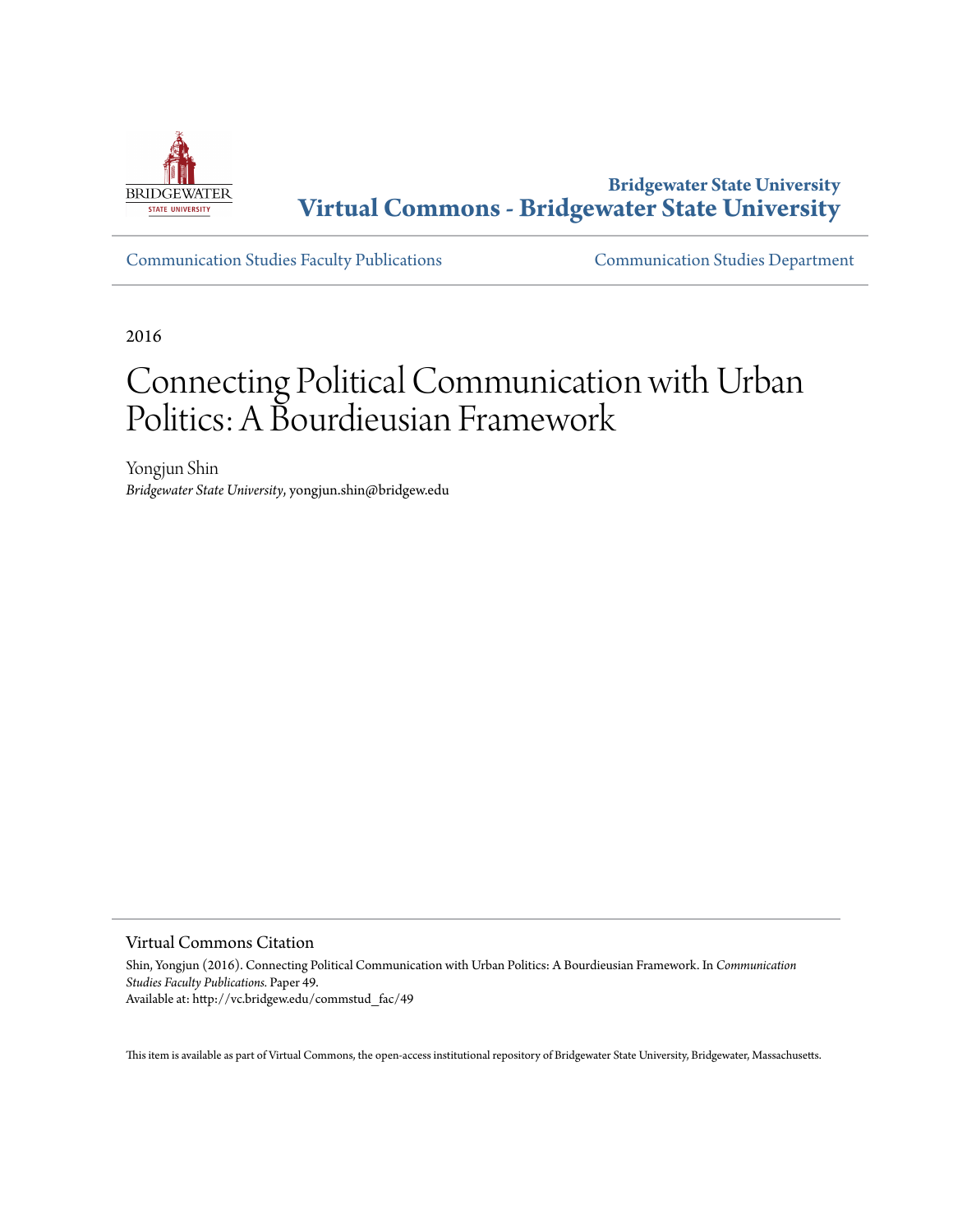

**Bridgewater State University [Virtual Commons - Bridgewater State University](http://vc.bridgew.edu)**

[Communication Studies Faculty Publications](http://vc.bridgew.edu/commstud_fac) [Communication Studies Department](http://vc.bridgew.edu/commstud)

2016

# Connecting Political Communication with Urban Politics: A Bourdieusian Framework

Yongjun Shin *Bridgewater State University*, yongjun.shin@bridgew.edu

Virtual Commons Citation

Shin, Yongjun (2016). Connecting Political Communication with Urban Politics: A Bourdieusian Framework. In *Communication Studies Faculty Publications.* Paper 49. Available at: http://vc.bridgew.edu/commstud\_fac/49

This item is available as part of Virtual Commons, the open-access institutional repository of Bridgewater State University, Bridgewater, Massachusetts.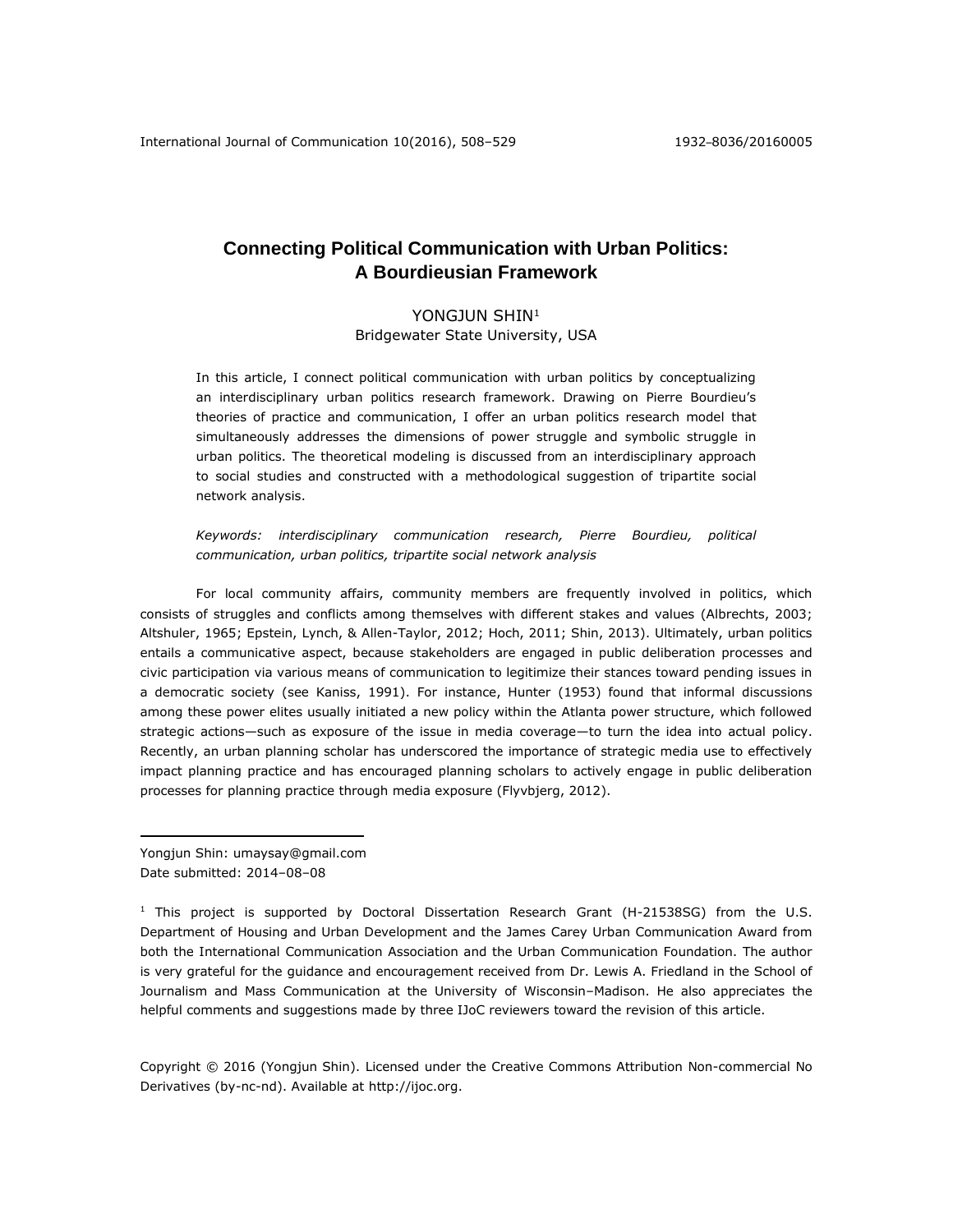# **Connecting Political Communication with Urban Politics: A Bourdieusian Framework**

## YONGJUN SHIN<sup>1</sup>

Bridgewater State University, USA

In this article, I connect political communication with urban politics by conceptualizing an interdisciplinary urban politics research framework. Drawing on Pierre Bourdieu's theories of practice and communication, I offer an urban politics research model that simultaneously addresses the dimensions of power struggle and symbolic struggle in urban politics. The theoretical modeling is discussed from an interdisciplinary approach to social studies and constructed with a methodological suggestion of tripartite social network analysis.

*Keywords: interdisciplinary communication research, Pierre Bourdieu, political communication, urban politics, tripartite social network analysis*

For local community affairs, community members are frequently involved in politics, which consists of struggles and conflicts among themselves with different stakes and values [\(Albrechts, 2003;](#page-18-0) [Altshuler, 1965;](#page-18-1) [Epstein, Lynch, & Allen-Taylor, 2012;](#page-20-0) [Hoch, 2011;](#page-20-1) [Shin, 2013\)](#page-22-0). Ultimately, urban politics entails a communicative aspect, because stakeholders are engaged in public deliberation processes and civic participation via various means of communication to legitimize their stances toward pending issues in a democratic society [\(see Kaniss, 1991\)](#page-21-0). For instance, Hunter [\(1953\)](#page-21-1) found that informal discussions among these power elites usually initiated a new policy within the Atlanta power structure, which followed strategic actions—such as exposure of the issue in media coverage—to turn the idea into actual policy. Recently, an urban planning scholar has underscored the importance of strategic media use to effectively impact planning practice and has encouraged planning scholars to actively engage in public deliberation processes for planning practice through media exposure [\(Flyvbjerg, 2012\)](#page-20-2).

Yongjun Shin: umaysay@gmail.com Date submitted: 2014–08–08

 $\overline{a}$ 

 $1$  This project is supported by Doctoral Dissertation Research Grant (H-21538SG) from the U.S. Department of Housing and Urban Development and the James Carey Urban Communication Award from both the International Communication Association and the Urban Communication Foundation. The author is very grateful for the guidance and encouragement received from Dr. Lewis A. Friedland in the School of Journalism and Mass Communication at the University of Wisconsin–Madison. He also appreciates the helpful comments and suggestions made by three IJoC reviewers toward the revision of this article.

Copyright © 2016 (Yongjun Shin). Licensed under the Creative Commons Attribution Non-commercial No Derivatives (by-nc-nd). Available at [http://ijoc.org.](http://ijoc.org/)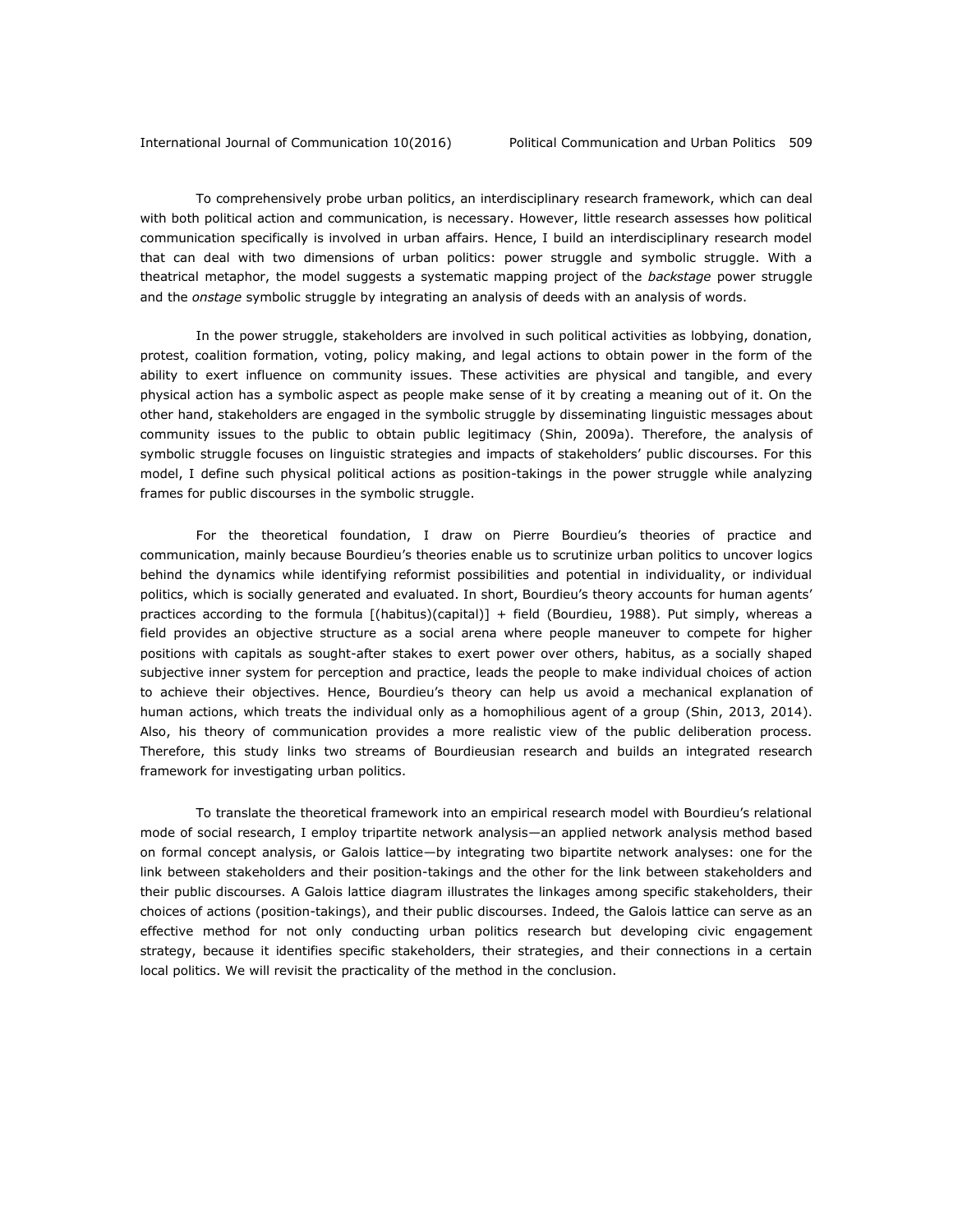To comprehensively probe urban politics, an interdisciplinary research framework, which can deal with both political action and communication, is necessary. However, little research assesses how political communication specifically is involved in urban affairs. Hence, I build an interdisciplinary research model that can deal with two dimensions of urban politics: power struggle and symbolic struggle. With a theatrical metaphor, the model suggests a systematic mapping project of the *backstage* power struggle and the *onstage* symbolic struggle by integrating an analysis of deeds with an analysis of words.

In the power struggle, stakeholders are involved in such political activities as lobbying, donation, protest, coalition formation, voting, policy making, and legal actions to obtain power in the form of the ability to exert influence on community issues. These activities are physical and tangible, and every physical action has a symbolic aspect as people make sense of it by creating a meaning out of it. On the other hand, stakeholders are engaged in the symbolic struggle by disseminating linguistic messages about community issues to the public to obtain public legitimacy [\(Shin, 2009a\)](#page-22-1). Therefore, the analysis of symbolic struggle focuses on linguistic strategies and impacts of stakeholders' public discourses. For this model, I define such physical political actions as position-takings in the power struggle while analyzing frames for public discourses in the symbolic struggle.

For the theoretical foundation, I draw on Pierre Bourdieu's theories of practice and communication, mainly because Bourdieu's theories enable us to scrutinize urban politics to uncover logics behind the dynamics while identifying reformist possibilities and potential in individuality, or individual politics, which is socially generated and evaluated. In short, Bourdieu's theory accounts for human agents' practices according to the formula [(habitus)(capital)] + field [\(Bourdieu, 1988\)](#page-18-2). Put simply, whereas a field provides an objective structure as a social arena where people maneuver to compete for higher positions with capitals as sought-after stakes to exert power over others, habitus, as a socially shaped subjective inner system for perception and practice, leads the people to make individual choices of action to achieve their objectives. Hence, Bourdieu's theory can help us avoid a mechanical explanation of human actions, which treats the individual only as a homophilious agent of a group [\(Shin, 2013,](#page-22-0) [2014\)](#page-22-2). Also, his theory of communication provides a more realistic view of the public deliberation process. Therefore, this study links two streams of Bourdieusian research and builds an integrated research framework for investigating urban politics.

To translate the theoretical framework into an empirical research model with Bourdieu's relational mode of social research, I employ tripartite network analysis—an applied network analysis method based on formal concept analysis, or Galois lattice—by integrating two bipartite network analyses: one for the link between stakeholders and their position-takings and the other for the link between stakeholders and their public discourses. A Galois lattice diagram illustrates the linkages among specific stakeholders, their choices of actions (position-takings), and their public discourses. Indeed, the Galois lattice can serve as an effective method for not only conducting urban politics research but developing civic engagement strategy, because it identifies specific stakeholders, their strategies, and their connections in a certain local politics. We will revisit the practicality of the method in the conclusion.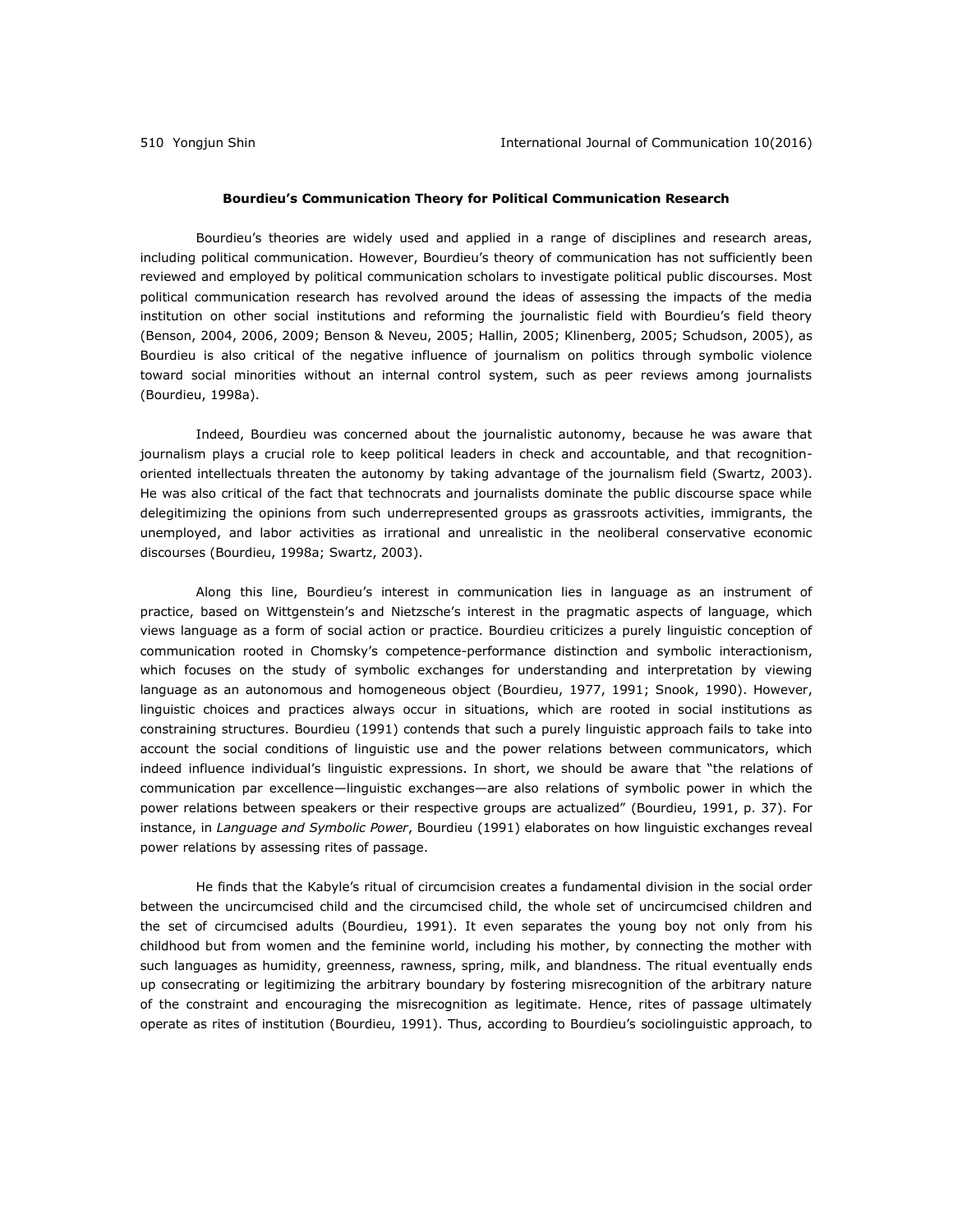#### **Bourdieu's Communication Theory for Political Communication Research**

Bourdieu's theories are widely used and applied in a range of disciplines and research areas, including political communication. However, Bourdieu's theory of communication has not sufficiently been reviewed and employed by political communication scholars to investigate political public discourses. Most political communication research has revolved around the ideas of assessing the impacts of the media institution on other social institutions and reforming the journalistic field with Bourdieu's field theory [\(Benson, 2004,](#page-18-3) [2006,](#page-18-4) [2009;](#page-18-5) [Benson & Neveu, 2005;](#page-18-6) [Hallin, 2005;](#page-20-3) [Klinenberg, 2005;](#page-21-2) [Schudson, 2005\)](#page-22-3), as Bourdieu is also critical of the negative influence of journalism on politics through symbolic violence toward social minorities without an internal control system, such as peer reviews among journalists [\(Bourdieu, 1998a](#page-19-0)).

Indeed, Bourdieu was concerned about the journalistic autonomy, because he was aware that journalism plays a crucial role to keep political leaders in check and accountable, and that recognitionoriented intellectuals threaten the autonomy by taking advantage of the journalism field [\(Swartz, 2003\)](#page-22-4). He was also critical of the fact that technocrats and journalists dominate the public discourse space while delegitimizing the opinions from such underrepresented groups as grassroots activities, immigrants, the unemployed, and labor activities as irrational and unrealistic in the neoliberal conservative economic discourses [\(Bourdieu, 1998a](#page-19-0); [Swartz, 2003\)](#page-22-4).

Along this line, Bourdieu's interest in communication lies in language as an instrument of practice, based on Wittgenstein's and Nietzsche's interest in the pragmatic aspects of language, which views language as a form of social action or practice. Bourdieu criticizes a purely linguistic conception of communication rooted in Chomsky's competence-performance distinction and symbolic interactionism, which focuses on the study of symbolic exchanges for understanding and interpretation by viewing language as an autonomous and homogeneous object [\(Bourdieu, 1977,](#page-18-7) [1991;](#page-18-8) [Snook, 1990\)](#page-22-5). However, linguistic choices and practices always occur in situations, which are rooted in social institutions as constraining structures. Bourdieu [\(1991\)](#page-18-8) contends that such a purely linguistic approach fails to take into account the social conditions of linguistic use and the power relations between communicators, which indeed influence individual's linguistic expressions. In short, we should be aware that "the relations of communication par excellence—linguistic exchanges—are also relations of symbolic power in which the power relations between speakers or their respective groups are actualized" [\(Bourdieu, 1991, p. 37\)](#page-18-8). For instance, in *Language and Symbolic Power*, Bourdieu [\(1991\)](#page-18-8) elaborates on how linguistic exchanges reveal power relations by assessing rites of passage.

He finds that the Kabyle's ritual of circumcision creates a fundamental division in the social order between the uncircumcised child and the circumcised child, the whole set of uncircumcised children and the set of circumcised adults [\(Bourdieu, 1991\)](#page-18-8). It even separates the young boy not only from his childhood but from women and the feminine world, including his mother, by connecting the mother with such languages as humidity, greenness, rawness, spring, milk, and blandness. The ritual eventually ends up consecrating or legitimizing the arbitrary boundary by fostering misrecognition of the arbitrary nature of the constraint and encouraging the misrecognition as legitimate. Hence, rites of passage ultimately operate as rites of institution [\(Bourdieu, 1991\)](#page-18-8). Thus, according to Bourdieu's sociolinguistic approach, to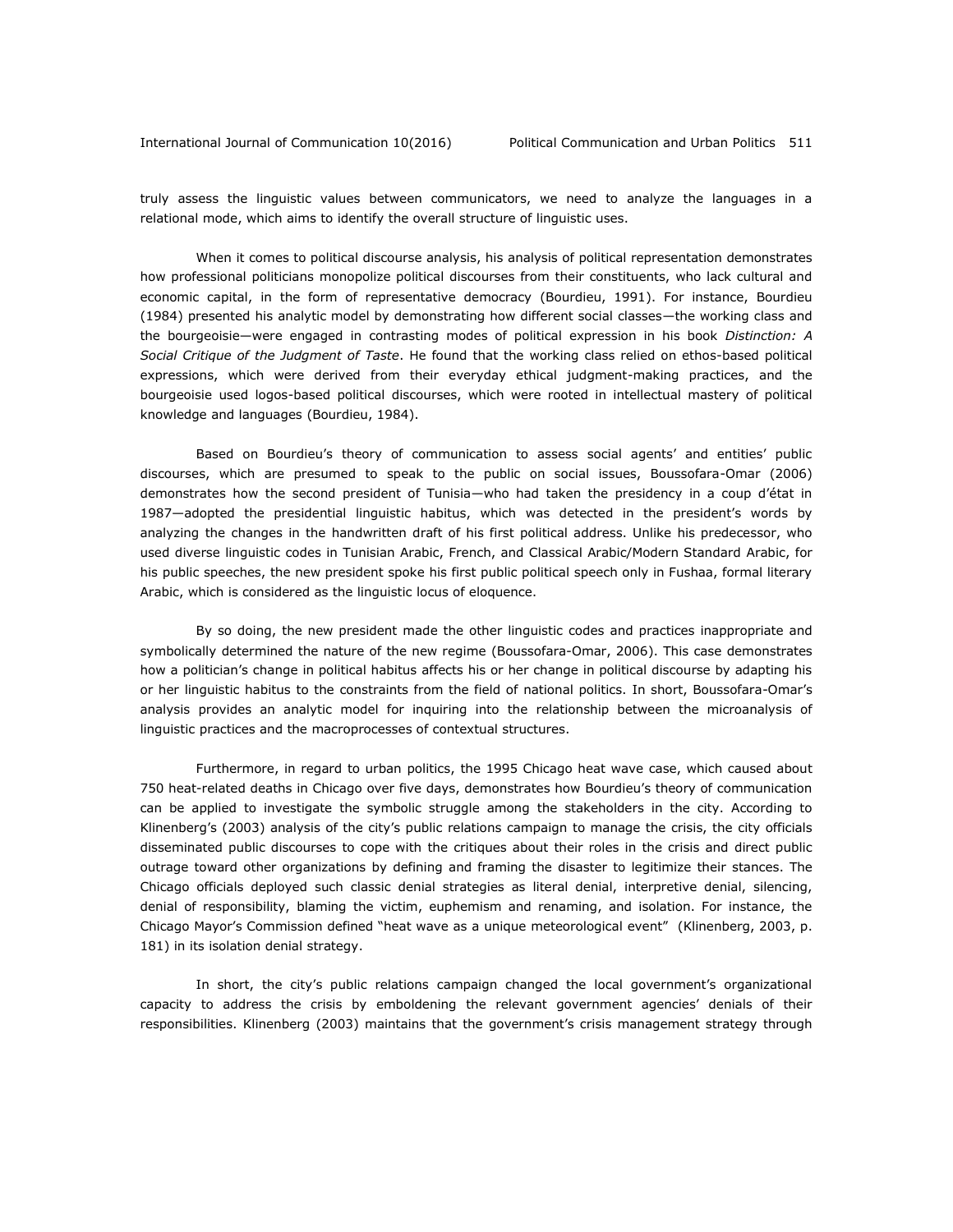truly assess the linguistic values between communicators, we need to analyze the languages in a relational mode, which aims to identify the overall structure of linguistic uses.

When it comes to political discourse analysis, his analysis of political representation demonstrates how professional politicians monopolize political discourses from their constituents, who lack cultural and economic capital, in the form of representative democracy [\(Bourdieu, 1991\)](#page-18-8). For instance, Bourdieu [\(1984\)](#page-18-2) presented his analytic model by demonstrating how different social classes—the working class and the bourgeoisie—were engaged in contrasting modes of political expression in his book *Distinction: A Social Critique of the Judgment of Taste*. He found that the working class relied on ethos-based political expressions, which were derived from their everyday ethical judgment-making practices, and the bourgeoisie used logos-based political discourses, which were rooted in intellectual mastery of political knowledge and languages [\(Bourdieu, 1984\)](#page-18-2).

Based on Bourdieu's theory of communication to assess social agents' and entities' public discourses, which are presumed to speak to the public on social issues, Boussofara-Omar [\(2006\)](#page-19-1) demonstrates how the second president of Tunisia—who had taken the presidency in a coup d'état in 1987—adopted the presidential linguistic habitus, which was detected in the president's words by analyzing the changes in the handwritten draft of his first political address. Unlike his predecessor, who used diverse linguistic codes in Tunisian Arabic, French, and Classical Arabic/Modern Standard Arabic, for his public speeches, the new president spoke his first public political speech only in Fushaa, formal literary Arabic, which is considered as the linguistic locus of eloquence.

By so doing, the new president made the other linguistic codes and practices inappropriate and symbolically determined the nature of the new regime [\(Boussofara-Omar, 2006\)](#page-19-1). This case demonstrates how a politician's change in political habitus affects his or her change in political discourse by adapting his or her linguistic habitus to the constraints from the field of national politics. In short, Boussofara-Omar's analysis provides an analytic model for inquiring into the relationship between the microanalysis of linguistic practices and the macroprocesses of contextual structures.

Furthermore, in regard to urban politics, the 1995 Chicago heat wave case, which caused about 750 heat-related deaths in Chicago over five days, demonstrates how Bourdieu's theory of communication can be applied to investigate the symbolic struggle among the stakeholders in the city. According to Klinenberg's (2003) analysis of the city's public relations campaign to manage the crisis, the city officials disseminated public discourses to cope with the critiques about their roles in the crisis and direct public outrage toward other organizations by defining and framing the disaster to legitimize their stances. The Chicago officials deployed such classic denial strategies as literal denial, interpretive denial, silencing, denial of responsibility, blaming the victim, euphemism and renaming, and isolation. For instance, the Chicago Mayor's Commission defined "heat wave as a unique meteorological event" [\(Klinenberg, 2003, p.](#page-21-3)  [181\)](#page-21-3) in its isolation denial strategy.

In short, the city's public relations campaign changed the local government's organizational capacity to address the crisis by emboldening the relevant government agencies' denials of their responsibilities. Klinenberg (2003) maintains that the government's crisis management strategy through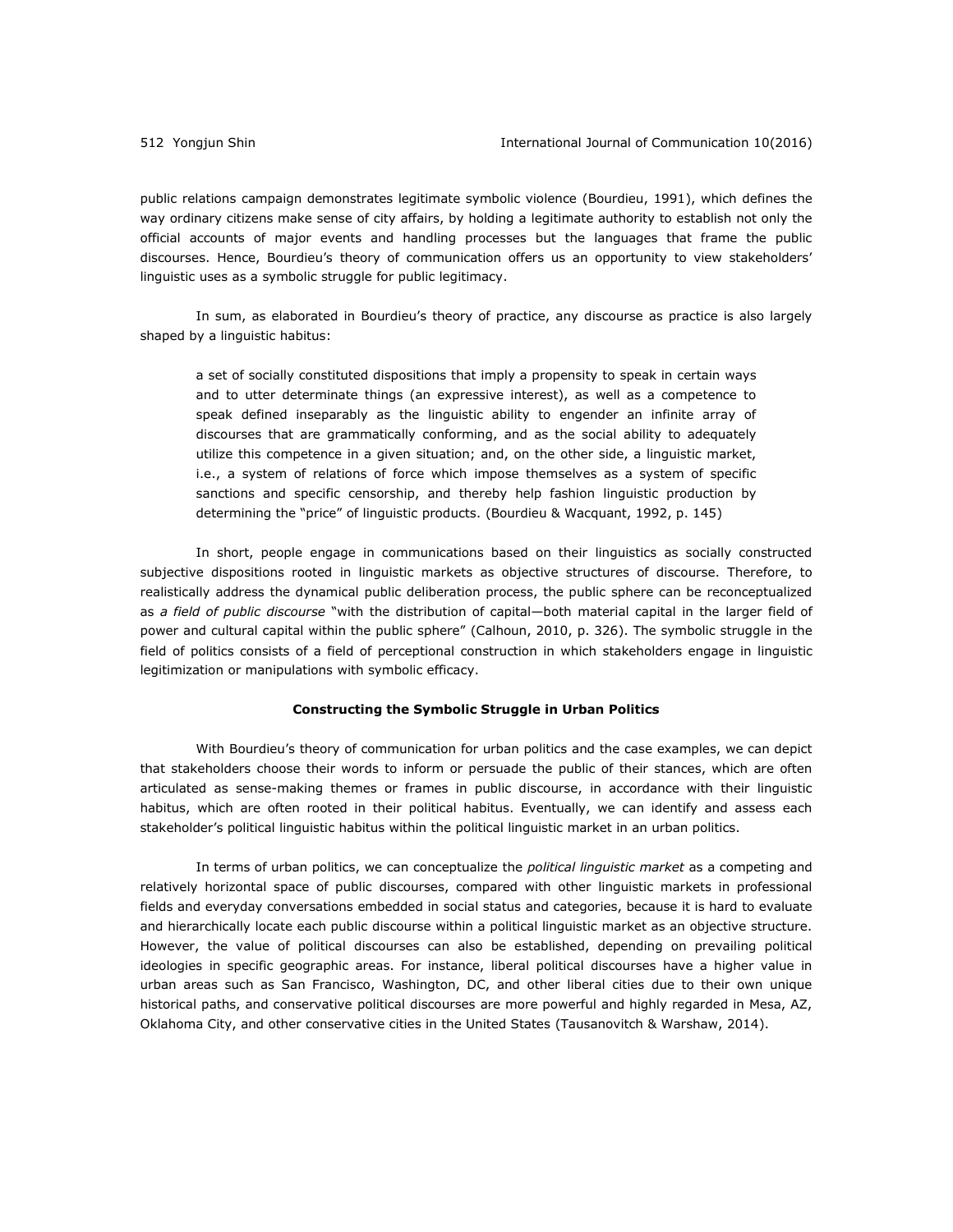public relations campaign demonstrates legitimate symbolic violence [\(Bourdieu, 1991\)](#page-18-8), which defines the way ordinary citizens make sense of city affairs, by holding a legitimate authority to establish not only the official accounts of major events and handling processes but the languages that frame the public discourses. Hence, Bourdieu's theory of communication offers us an opportunity to view stakeholders' linguistic uses as a symbolic struggle for public legitimacy.

In sum, as elaborated in Bourdieu's theory of practice, any discourse as practice is also largely shaped by a linguistic habitus:

a set of socially constituted dispositions that imply a propensity to speak in certain ways and to utter determinate things (an expressive interest), as well as a competence to speak defined inseparably as the linguistic ability to engender an infinite array of discourses that are grammatically conforming, and as the social ability to adequately utilize this competence in a given situation; and, on the other side, a linguistic market, i.e., a system of relations of force which impose themselves as a system of specific sanctions and specific censorship, and thereby help fashion linguistic production by determining the "price" of linguistic products. [\(Bourdieu & Wacquant, 1992, p. 145\)](#page-19-2)

In short, people engage in communications based on their linguistics as socially constructed subjective dispositions rooted in linguistic markets as objective structures of discourse. Therefore, to realistically address the dynamical public deliberation process, the public sphere can be reconceptualized as *a field of public discourse* "with the distribution of capital—both material capital in the larger field of power and cultural capital within the public sphere" [\(Calhoun, 2010, p. 326\)](#page-19-3). The symbolic struggle in the field of politics consists of a field of perceptional construction in which stakeholders engage in linguistic legitimization or manipulations with symbolic efficacy.

#### **Constructing the Symbolic Struggle in Urban Politics**

With Bourdieu's theory of communication for urban politics and the case examples, we can depict that stakeholders choose their words to inform or persuade the public of their stances, which are often articulated as sense-making themes or frames in public discourse, in accordance with their linguistic habitus, which are often rooted in their political habitus. Eventually, we can identify and assess each stakeholder's political linguistic habitus within the political linguistic market in an urban politics.

In terms of urban politics, we can conceptualize the *political linguistic market* as a competing and relatively horizontal space of public discourses, compared with other linguistic markets in professional fields and everyday conversations embedded in social status and categories, because it is hard to evaluate and hierarchically locate each public discourse within a political linguistic market as an objective structure. However, the value of political discourses can also be established, depending on prevailing political ideologies in specific geographic areas. For instance, liberal political discourses have a higher value in urban areas such as San Francisco, Washington, DC, and other liberal cities due to their own unique historical paths, and conservative political discourses are more powerful and highly regarded in Mesa, AZ, Oklahoma City, and other conservative cities in the United States [\(Tausanovitch & Warshaw, 2014\)](#page-22-6).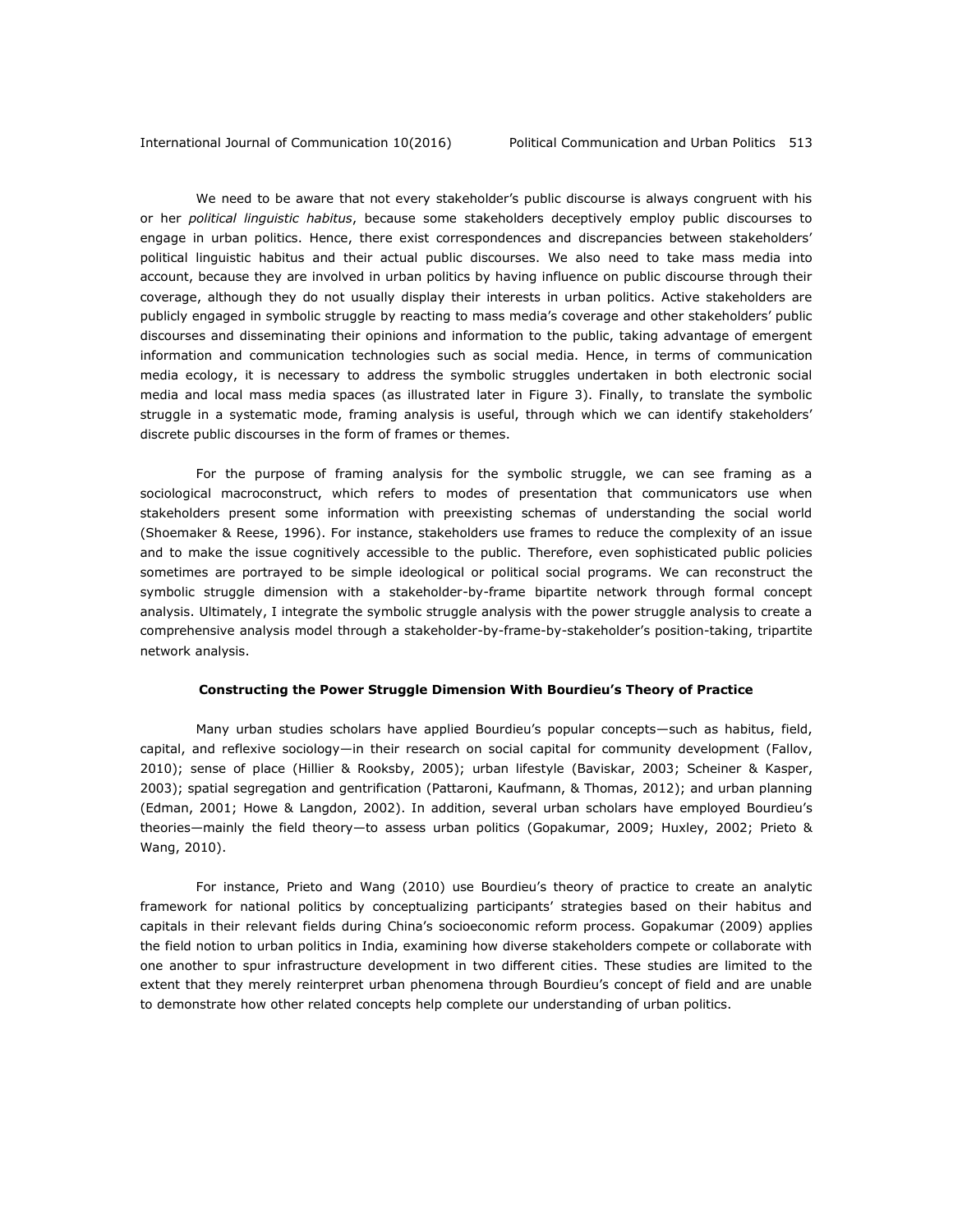We need to be aware that not every stakeholder's public discourse is always congruent with his or her *political linguistic habitus*, because some stakeholders deceptively employ public discourses to engage in urban politics. Hence, there exist correspondences and discrepancies between stakeholders' political linguistic habitus and their actual public discourses. We also need to take mass media into account, because they are involved in urban politics by having influence on public discourse through their coverage, although they do not usually display their interests in urban politics. Active stakeholders are publicly engaged in symbolic struggle by reacting to mass media's coverage and other stakeholders' public discourses and disseminating their opinions and information to the public, taking advantage of emergent information and communication technologies such as social media. Hence, in terms of communication media ecology, it is necessary to address the symbolic struggles undertaken in both electronic social media and local mass media spaces (as illustrated later in Figure 3). Finally, to translate the symbolic struggle in a systematic mode, framing analysis is useful, through which we can identify stakeholders' discrete public discourses in the form of frames or themes.

For the purpose of framing analysis for the symbolic struggle, we can see framing as a sociological macroconstruct, which refers to modes of presentation that communicators use when stakeholders present some information with preexisting schemas of understanding the social world [\(Shoemaker & Reese, 1996\)](#page-22-7). For instance, stakeholders use frames to reduce the complexity of an issue and to make the issue cognitively accessible to the public. Therefore, even sophisticated public policies sometimes are portrayed to be simple ideological or political social programs. We can reconstruct the symbolic struggle dimension with a stakeholder-by-frame bipartite network through formal concept analysis. Ultimately, I integrate the symbolic struggle analysis with the power struggle analysis to create a comprehensive analysis model through a stakeholder-by-frame-by-stakeholder's position-taking, tripartite network analysis.

#### **Constructing the Power Struggle Dimension With Bourdieu's Theory of Practice**

Many urban studies scholars have applied Bourdieu's popular concepts—such as habitus, field, capital, and reflexive sociology—in their research on social capital for community development [\(Fallov,](#page-20-4)  [2010\)](#page-20-4); sense of place [\(Hillier & Rooksby, 2005\)](#page-20-5); urban lifestyle [\(Baviskar, 2003;](#page-18-9) [Scheiner & Kasper,](#page-22-8)  [2003\)](#page-22-8); spatial segregation and gentrification [\(Pattaroni, Kaufmann, & Thomas, 2012\)](#page-21-4); and urban planning [\(Edman, 2001;](#page-19-4) [Howe & Langdon, 2002\)](#page-20-6). In addition, several urban scholars have employed Bourdieu's theories—mainly the field theory—to assess urban politics [\(Gopakumar, 2009;](#page-20-7) [Huxley, 2002;](#page-21-5) [Prieto &](#page-21-6)  [Wang, 2010\)](#page-21-6).

For instance, Prieto and Wang (2010) use Bourdieu's theory of practice to create an analytic framework for national politics by conceptualizing participants' strategies based on their habitus and capitals in their relevant fields during China's socioeconomic reform process. Gopakumar (2009) applies the field notion to urban politics in India, examining how diverse stakeholders compete or collaborate with one another to spur infrastructure development in two different cities. These studies are limited to the extent that they merely reinterpret urban phenomena through Bourdieu's concept of field and are unable to demonstrate how other related concepts help complete our understanding of urban politics.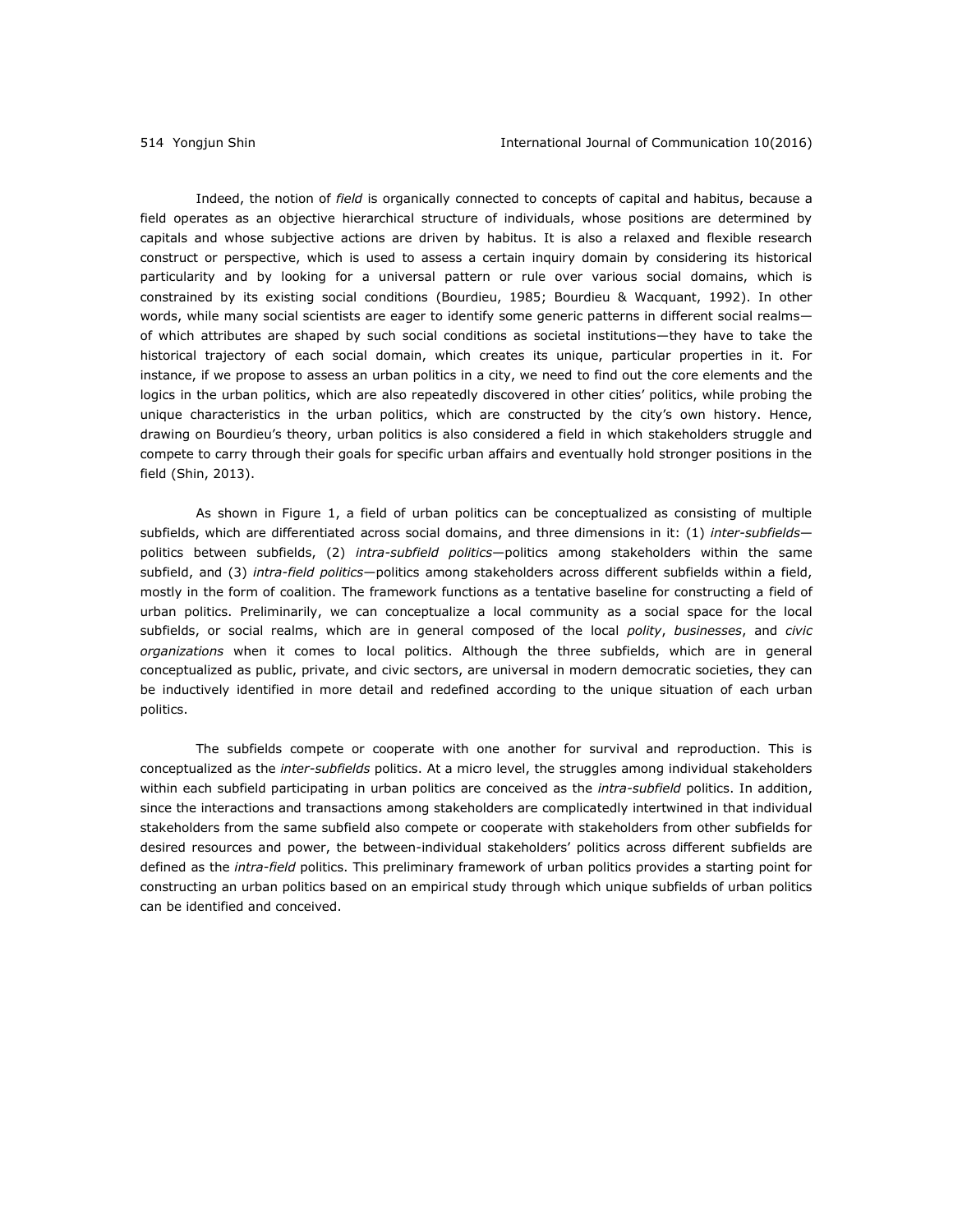Indeed, the notion of *field* is organically connected to concepts of capital and habitus, because a field operates as an objective hierarchical structure of individuals, whose positions are determined by capitals and whose subjective actions are driven by habitus. It is also a relaxed and flexible research construct or perspective, which is used to assess a certain inquiry domain by considering its historical particularity and by looking for a universal pattern or rule over various social domains, which is constrained by its existing social conditions [\(Bourdieu, 1985;](#page-18-10) [Bourdieu & Wacquant, 1992\)](#page-19-2). In other words, while many social scientists are eager to identify some generic patterns in different social realmsof which attributes are shaped by such social conditions as societal institutions—they have to take the historical trajectory of each social domain, which creates its unique, particular properties in it. For instance, if we propose to assess an urban politics in a city, we need to find out the core elements and the logics in the urban politics, which are also repeatedly discovered in other cities' politics, while probing the unique characteristics in the urban politics, which are constructed by the city's own history. Hence, drawing on Bourdieu's theory, urban politics is also considered a field in which stakeholders struggle and compete to carry through their goals for specific urban affairs and eventually hold stronger positions in the field [\(Shin, 2013\)](#page-22-0).

As shown in Figure 1, a field of urban politics can be conceptualized as consisting of multiple subfields, which are differentiated across social domains, and three dimensions in it: (1) *inter-subfields* politics between subfields, (2) *intra-subfield politics*—politics among stakeholders within the same subfield, and (3) *intra-field politics*—politics among stakeholders across different subfields within a field, mostly in the form of coalition. The framework functions as a tentative baseline for constructing a field of urban politics. Preliminarily, we can conceptualize a local community as a social space for the local subfields, or social realms, which are in general composed of the local *polity*, *businesses*, and *civic organizations* when it comes to local politics. Although the three subfields, which are in general conceptualized as public, private, and civic sectors, are universal in modern democratic societies, they can be inductively identified in more detail and redefined according to the unique situation of each urban politics.

The subfields compete or cooperate with one another for survival and reproduction. This is conceptualized as the *inter-subfields* politics. At a micro level, the struggles among individual stakeholders within each subfield participating in urban politics are conceived as the *intra-subfield* politics. In addition, since the interactions and transactions among stakeholders are complicatedly intertwined in that individual stakeholders from the same subfield also compete or cooperate with stakeholders from other subfields for desired resources and power, the between-individual stakeholders' politics across different subfields are defined as the *intra-field* politics. This preliminary framework of urban politics provides a starting point for constructing an urban politics based on an empirical study through which unique subfields of urban politics can be identified and conceived.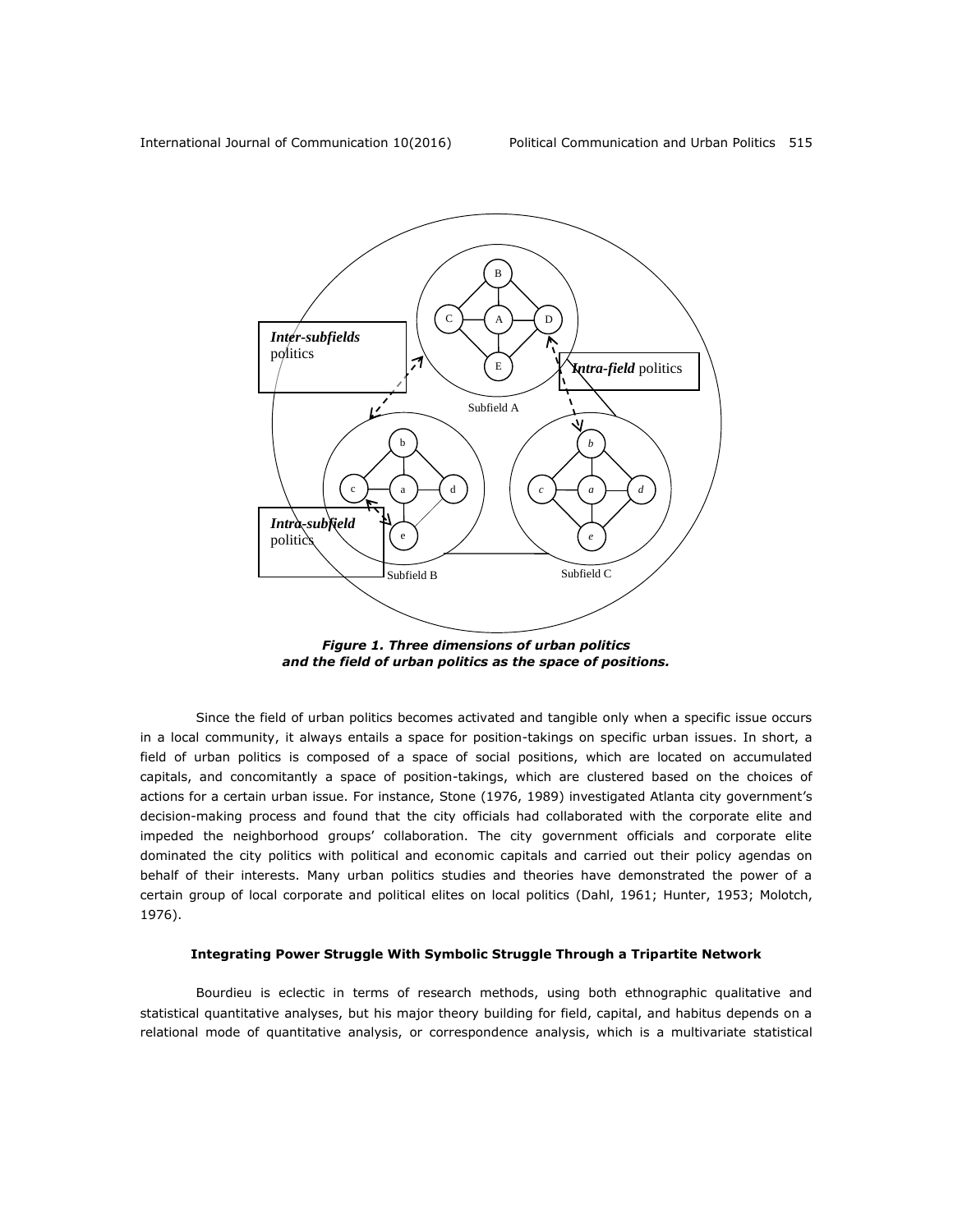

*Figure 1. Three dimensions of urban politics and the field of urban politics as the space of positions.*

Since the field of urban politics becomes activated and tangible only when a specific issue occurs in a local community, it always entails a space for position-takings on specific urban issues. In short, a field of urban politics is composed of a space of social positions, which are located on accumulated capitals, and concomitantly a space of position-takings, which are clustered based on the choices of actions for a certain urban issue. For instance, Stone (1976, 1989) investigated Atlanta city government's decision-making process and found that the city officials had collaborated with the corporate elite and impeded the neighborhood groups' collaboration. The city government officials and corporate elite dominated the city politics with political and economic capitals and carried out their policy agendas on behalf of their interests. Many urban politics studies and theories have demonstrated the power of a certain group of local corporate and political elites on local politics [\(Dahl, 1961;](#page-19-5) [Hunter, 1953;](#page-21-1) [Molotch,](#page-21-7)  [1976\)](#page-21-7).

### **Integrating Power Struggle With Symbolic Struggle Through a Tripartite Network**

Bourdieu is eclectic in terms of research methods, using both ethnographic qualitative and statistical quantitative analyses, but his major theory building for field, capital, and habitus depends on a relational mode of quantitative analysis, or correspondence analysis, which is a multivariate statistical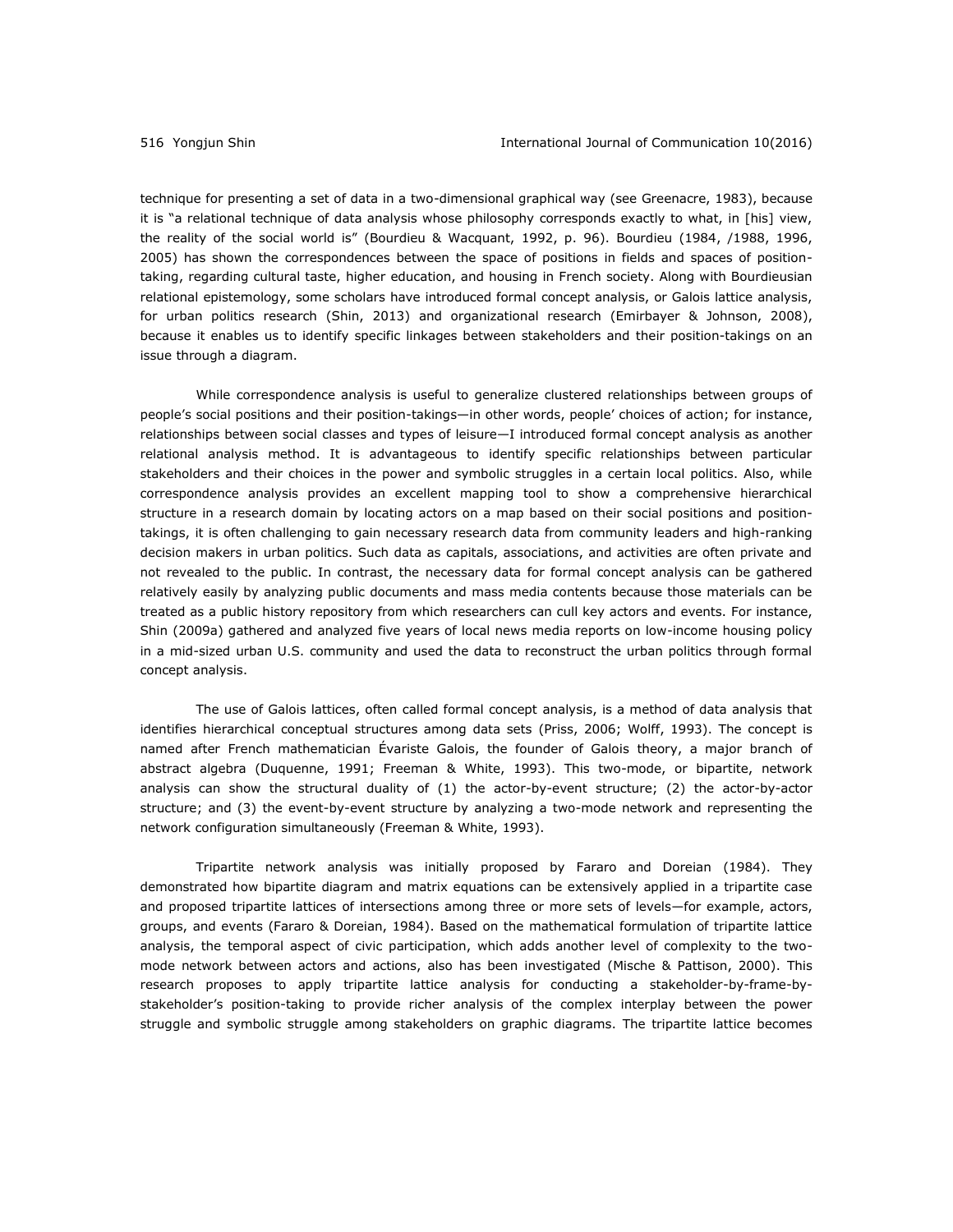technique for presenting a set of data in a two-dimensional graphical way [\(see Greenacre, 1983\)](#page-20-8), because it is "a relational technique of data analysis whose philosophy corresponds exactly to what, in [his] view, the reality of the social world is" [\(Bourdieu & Wacquant, 1992, p. 96\)](#page-19-2). Bourdieu [\(1984,](#page-18-2) /1988, 1996, [2005\)](#page-19-6) has shown the correspondences between the space of positions in fields and spaces of positiontaking, regarding cultural taste, higher education, and housing in French society. Along with Bourdieusian relational epistemology, some scholars have introduced formal concept analysis, or Galois lattice analysis, for urban politics research [\(Shin, 2013\)](#page-22-0) and organizational research [\(Emirbayer & Johnson, 2008\)](#page-20-9), because it enables us to identify specific linkages between stakeholders and their position-takings on an issue through a diagram.

While correspondence analysis is useful to generalize clustered relationships between groups of people's social positions and their position-takings—in other words, people' choices of action; for instance, relationships between social classes and types of leisure—I introduced formal concept analysis as another relational analysis method. It is advantageous to identify specific relationships between particular stakeholders and their choices in the power and symbolic struggles in a certain local politics. Also, while correspondence analysis provides an excellent mapping tool to show a comprehensive hierarchical structure in a research domain by locating actors on a map based on their social positions and positiontakings, it is often challenging to gain necessary research data from community leaders and high-ranking decision makers in urban politics. Such data as capitals, associations, and activities are often private and not revealed to the public. In contrast, the necessary data for formal concept analysis can be gathered relatively easily by analyzing public documents and mass media contents because those materials can be treated as a public history repository from which researchers can cull key actors and events. For instance, Shin [\(2009a\)](#page-22-1) gathered and analyzed five years of local news media reports on low-income housing policy in a mid-sized urban U.S. community and used the data to reconstruct the urban politics through formal concept analysis.

The use of Galois lattices, often called formal concept analysis, is a method of data analysis that identifies hierarchical conceptual structures among data sets [\(Priss, 2006;](#page-21-8) Wolff, 1993). The concept is named after French mathematician Évariste Galois, the founder of Galois theory, a major branch of abstract algebra [\(Duquenne, 1991;](#page-19-7) [Freeman & White, 1993\)](#page-20-10). This two-mode, or bipartite, network analysis can show the structural duality of (1) the actor-by-event structure; (2) the actor-by-actor structure; and (3) the event-by-event structure by analyzing a two-mode network and representing the network configuration simultaneously [\(Freeman & White, 1993\)](#page-20-10).

Tripartite network analysis was initially proposed by Fararo and Doreian [\(1984\)](#page-20-11). They demonstrated how bipartite diagram and matrix equations can be extensively applied in a tripartite case and proposed tripartite lattices of intersections among three or more sets of levels—for example, actors, groups, and events [\(Fararo & Doreian, 1984\)](#page-20-11). Based on the mathematical formulation of tripartite lattice analysis, the temporal aspect of civic participation, which adds another level of complexity to the twomode network between actors and actions, also has been investigated [\(Mische & Pattison, 2000\)](#page-21-9). This research proposes to apply tripartite lattice analysis for conducting a stakeholder-by-frame-bystakeholder's position-taking to provide richer analysis of the complex interplay between the power struggle and symbolic struggle among stakeholders on graphic diagrams. The tripartite lattice becomes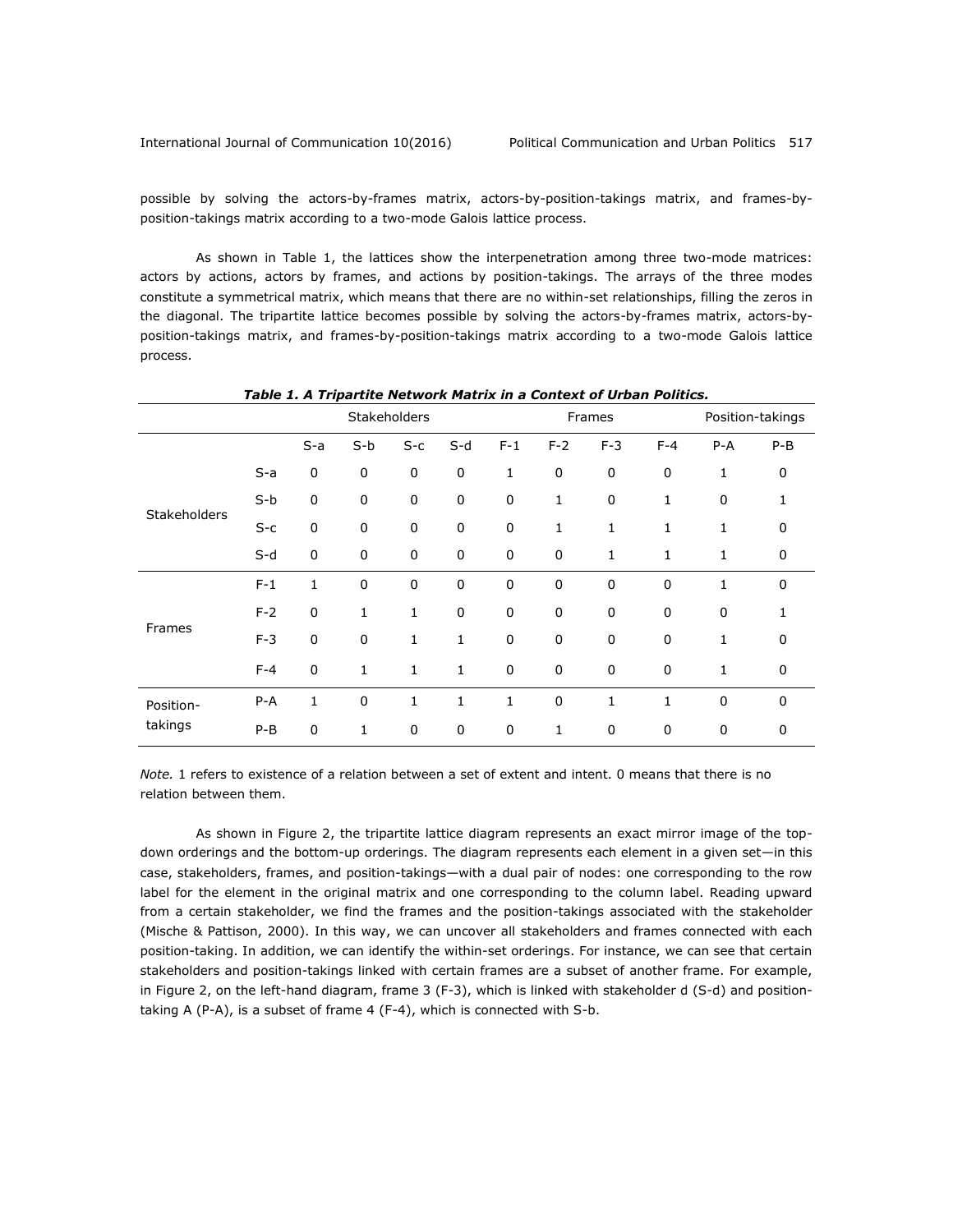possible by solving the actors-by-frames matrix, actors-by-position-takings matrix, and frames-byposition-takings matrix according to a two-mode Galois lattice process.

As shown in Table 1, the lattices show the interpenetration among three two-mode matrices: actors by actions, actors by frames, and actions by position-takings. The arrays of the three modes constitute a symmetrical matrix, which means that there are no within-set relationships, filling the zeros in the diagonal. The tripartite lattice becomes possible by solving the actors-by-frames matrix, actors-byposition-takings matrix, and frames-by-position-takings matrix according to a two-mode Galois lattice process.

|                      |         | <b>Stakeholders</b> |             |              |              | Frames      |           |              |              | Position-takings |         |
|----------------------|---------|---------------------|-------------|--------------|--------------|-------------|-----------|--------------|--------------|------------------|---------|
|                      |         | $S-a$               | $S-b$       | $S-c$        | $S-d$        | $F-1$       | $F-2$     | $F-3$        | $F-4$        | $P - A$          | $P - B$ |
| Stakeholders         | $S-a$   | 0                   | 0           | $\pmb{0}$    | 0            | 1           | 0         | $\pmb{0}$    | $\pmb{0}$    | 1                | 0       |
|                      | $S-b$   | $\mathbf 0$         | 0           | 0            | 0            | 0           | 1         | $\mathbf 0$  | 1            | $\mathbf 0$      | 1       |
|                      | $S-c$   | $\pmb{0}$           | $\pmb{0}$   | $\pmb{0}$    | 0            | $\mathbf 0$ | 1         | $\mathbf{1}$ | 1            | 1                | 0       |
|                      | $S-d$   | 0                   | 0           | 0            | 0            | $\mathbf 0$ | 0         | 1            | 1            | 1                | 0       |
| Frames               | $F-1$   | $\mathbf{1}$        | $\mathbf 0$ | $\pmb{0}$    | 0            | $\mathbf 0$ | $\pmb{0}$ | $\pmb{0}$    | $\mathbf 0$  | $\mathbf{1}$     | 0       |
|                      | $F-2$   | $\mathbf 0$         | 1           | $\mathbf{1}$ | 0            | $\mathbf 0$ | 0         | $\mathbf 0$  | $\mathbf 0$  | $\mathbf 0$      | 1       |
|                      | $F-3$   | $\mathbf 0$         | $\mathbf 0$ | $\mathbf{1}$ | 1            | $\mathbf 0$ | 0         | $\mathbf 0$  | $\mathbf 0$  | 1                | 0       |
|                      | $F-4$   | $\mathbf 0$         | 1           | 1            | 1            | 0           | 0         | $\mathbf 0$  | 0            | 1                | 0       |
| Position-<br>takings | $P - A$ | $\mathbf{1}$        | $\mathbf 0$ | $\mathbf{1}$ | $\mathbf{1}$ | 1           | $\pmb{0}$ | 1            | $\mathbf{1}$ | $\mathbf 0$      | 0       |
|                      | $P-B$   | 0                   | 1           | 0            | 0            | 0           | 1         | $\mathbf 0$  | $\mathbf 0$  | 0                | 0       |

*Table 1. A Tripartite Network Matrix in a Context of Urban Politics.*

*Note.* 1 refers to existence of a relation between a set of extent and intent. 0 means that there is no relation between them.

As shown in Figure 2, the tripartite lattice diagram represents an exact mirror image of the topdown orderings and the bottom-up orderings. The diagram represents each element in a given set—in this case, stakeholders, frames, and position-takings—with a dual pair of nodes: one corresponding to the row label for the element in the original matrix and one corresponding to the column label. Reading upward from a certain stakeholder, we find the frames and the position-takings associated with the stakeholder [\(Mische & Pattison, 2000\)](#page-21-9). In this way, we can uncover all stakeholders and frames connected with each position-taking. In addition, we can identify the within-set orderings. For instance, we can see that certain stakeholders and position-takings linked with certain frames are a subset of another frame. For example, in Figure 2, on the left-hand diagram, frame 3 (F-3), which is linked with stakeholder d (S-d) and positiontaking A (P-A), is a subset of frame 4 (F-4), which is connected with S-b.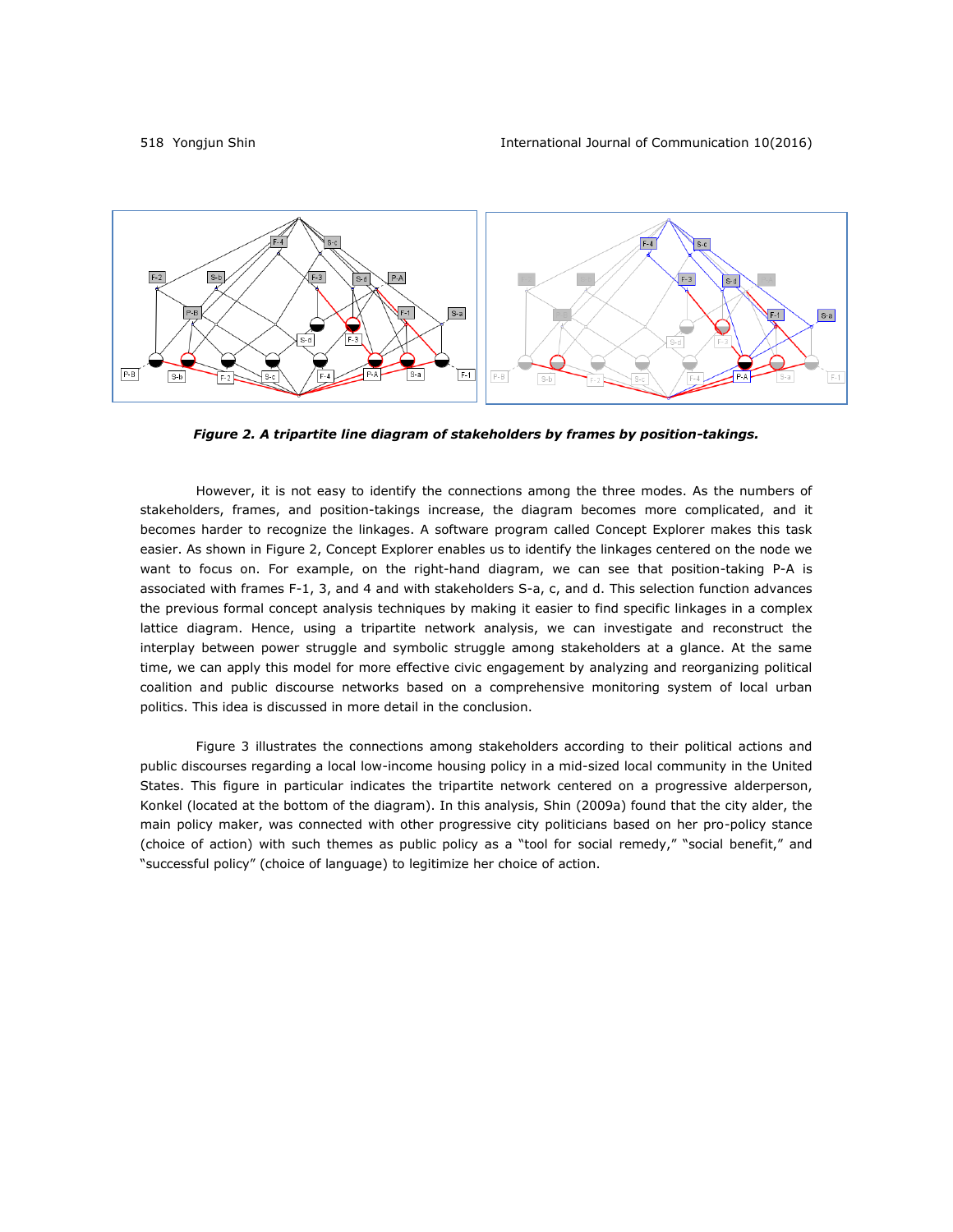

*Figure 2. A tripartite line diagram of stakeholders by frames by position-takings.*

However, it is not easy to identify the connections among the three modes. As the numbers of stakeholders, frames, and position-takings increase, the diagram becomes more complicated, and it becomes harder to recognize the linkages. A software program called Concept Explorer makes this task easier. As shown in Figure 2, Concept Explorer enables us to identify the linkages centered on the node we want to focus on. For example, on the right-hand diagram, we can see that position-taking P-A is associated with frames F-1, 3, and 4 and with stakeholders S-a, c, and d. This selection function advances the previous formal concept analysis techniques by making it easier to find specific linkages in a complex lattice diagram. Hence, using a tripartite network analysis, we can investigate and reconstruct the interplay between power struggle and symbolic struggle among stakeholders at a glance. At the same time, we can apply this model for more effective civic engagement by analyzing and reorganizing political coalition and public discourse networks based on a comprehensive monitoring system of local urban politics. This idea is discussed in more detail in the conclusion.

Figure 3 illustrates the connections among stakeholders according to their political actions and public discourses regarding a local low-income housing policy in a mid-sized local community in the United States. This figure in particular indicates the tripartite network centered on a progressive alderperson, Konkel (located at the bottom of the diagram). In this analysis, Shin [\(2009a\)](#page-22-1) found that the city alder, the main policy maker, was connected with other progressive city politicians based on her pro-policy stance (choice of action) with such themes as public policy as a "tool for social remedy," "social benefit," and "successful policy" (choice of language) to legitimize her choice of action.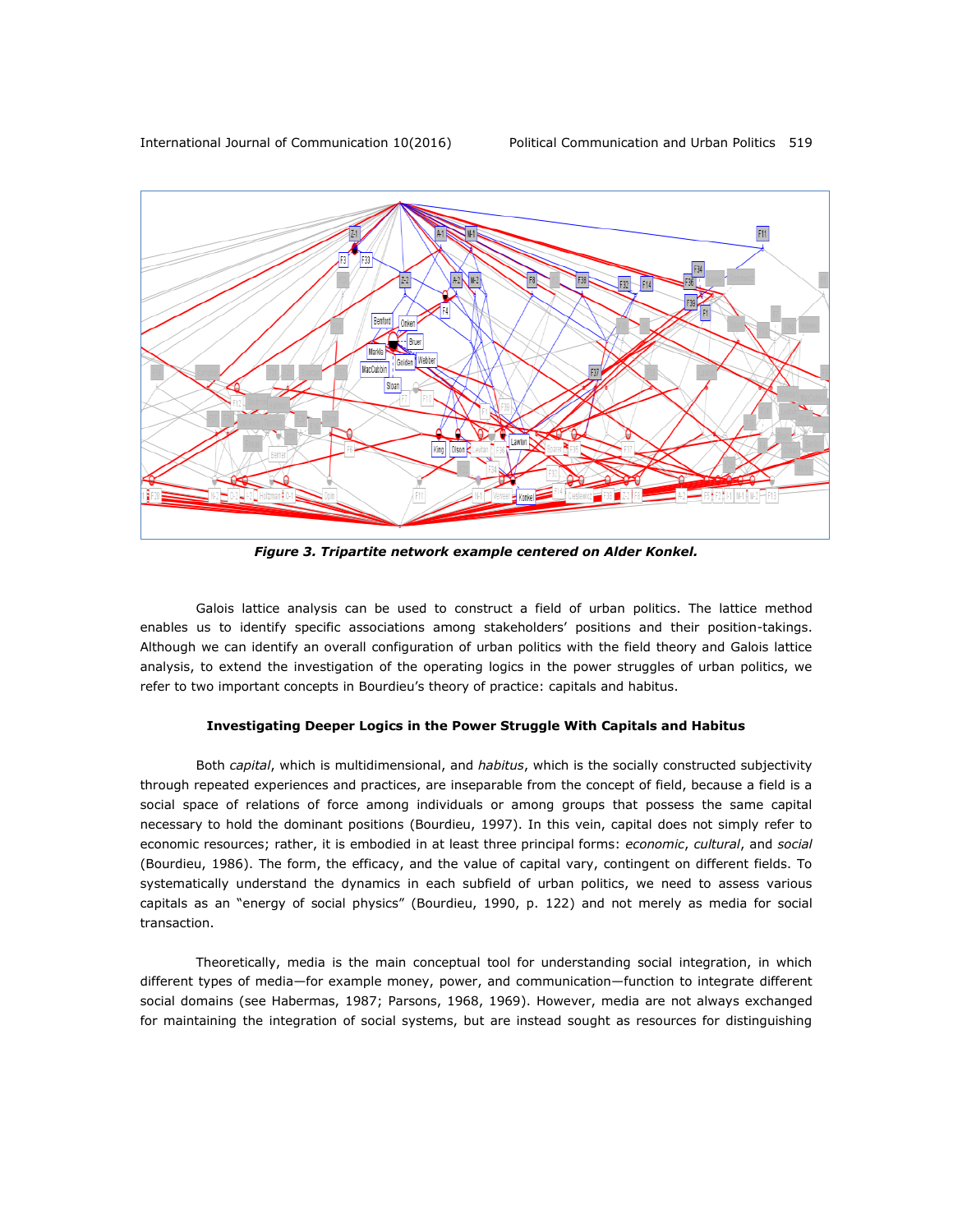

*Figure 3. Tripartite network example centered on Alder Konkel.*

Galois lattice analysis can be used to construct a field of urban politics. The lattice method enables us to identify specific associations among stakeholders' positions and their position-takings. Although we can identify an overall configuration of urban politics with the field theory and Galois lattice analysis, to extend the investigation of the operating logics in the power struggles of urban politics, we refer to two important concepts in Bourdieu's theory of practice: capitals and habitus.

#### **Investigating Deeper Logics in the Power Struggle With Capitals and Habitus**

Both *capital*, which is multidimensional, and *habitus*, which is the socially constructed subjectivity through repeated experiences and practices, are inseparable from the concept of field, because a field is a social space of relations of force among individuals or among groups that possess the same capital necessary to hold the dominant positions [\(Bourdieu, 1997\)](#page-18-11). In this vein, capital does not simply refer to economic resources; rather, it is embodied in at least three principal forms: *economic*, *cultural*, and *social* [\(Bourdieu, 1986\)](#page-18-12). The form, the efficacy, and the value of capital vary, contingent on different fields. To systematically understand the dynamics in each subfield of urban politics, we need to assess various capitals as an "energy of social physics" (Bourdieu, 1990, p. 122) and not merely as media for social transaction.

Theoretically, media is the main conceptual tool for understanding social integration, in which different types of media—for example money, power, and communication—function to integrate different social domains (see [Habermas, 1987;](#page-20-12) [Parsons, 1968,](#page-21-10) [1969\)](#page-21-11). However, media are not always exchanged for maintaining the integration of social systems, but are instead sought as resources for distinguishing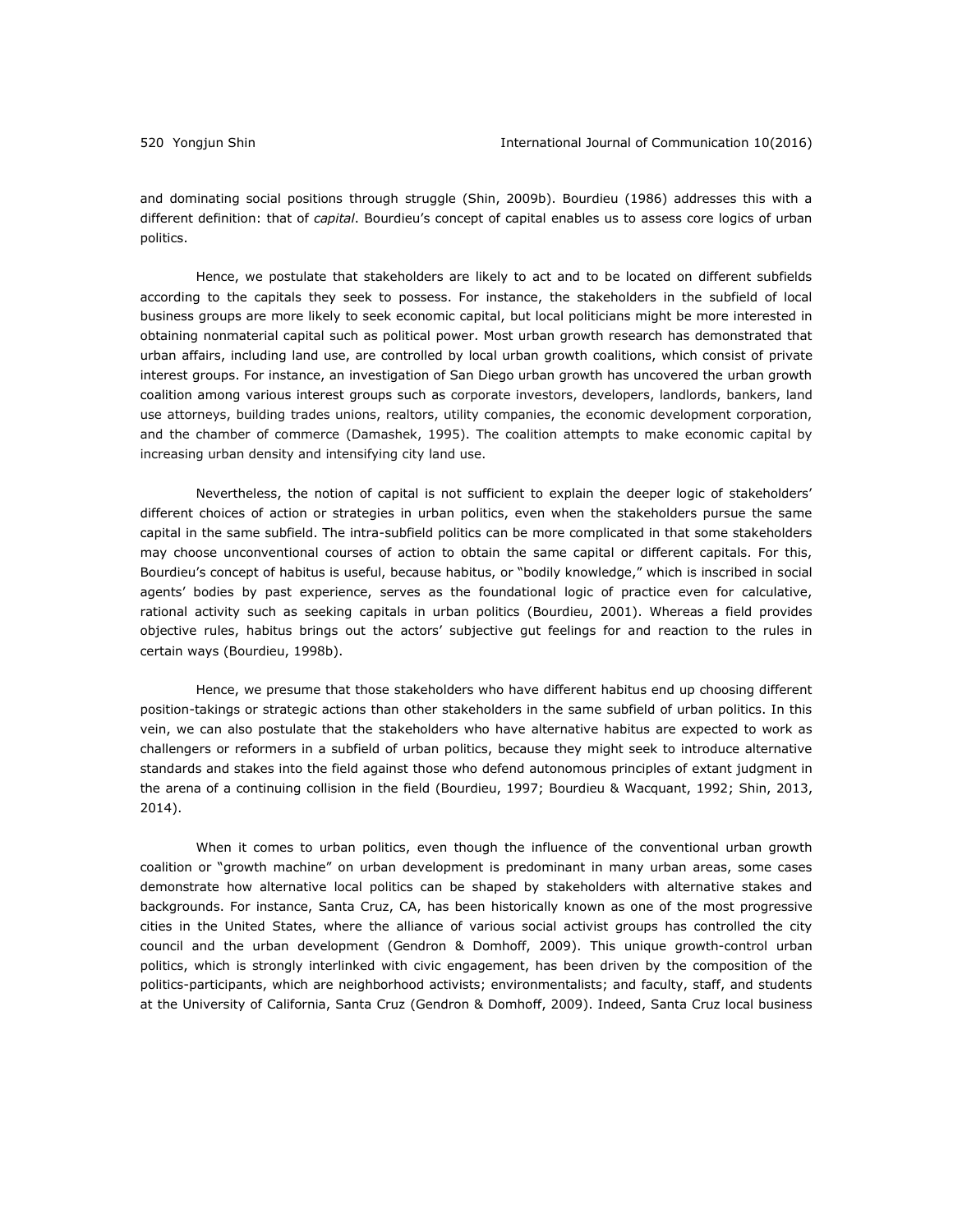and dominating social positions through struggle [\(Shin, 2009b\)](#page-22-9). Bourdieu (1986) addresses this with a different definition: that of *capital*. Bourdieu's concept of capital enables us to assess core logics of urban politics.

Hence, we postulate that stakeholders are likely to act and to be located on different subfields according to the capitals they seek to possess. For instance, the stakeholders in the subfield of local business groups are more likely to seek economic capital, but local politicians might be more interested in obtaining nonmaterial capital such as political power. Most urban growth research has demonstrated that urban affairs, including land use, are controlled by local urban growth coalitions, which consist of private interest groups. For instance, an investigation of San Diego urban growth has uncovered the urban growth coalition among various interest groups such as corporate investors, developers, landlords, bankers, land use attorneys, building trades unions, realtors, utility companies, the economic development corporation, and the chamber of commerce [\(Damashek, 1995\)](#page-19-8). The coalition attempts to make economic capital by increasing urban density and intensifying city land use.

Nevertheless, the notion of capital is not sufficient to explain the deeper logic of stakeholders' different choices of action or strategies in urban politics, even when the stakeholders pursue the same capital in the same subfield. The intra-subfield politics can be more complicated in that some stakeholders may choose unconventional courses of action to obtain the same capital or different capitals. For this, Bourdieu's concept of habitus is useful, because habitus, or "bodily knowledge," which is inscribed in social agents' bodies by past experience, serves as the foundational logic of practice even for calculative, rational activity such as seeking capitals in urban politics [\(Bourdieu, 2001\)](#page-19-9). Whereas a field provides objective rules, habitus brings out the actors' subjective gut feelings for and reaction to the rules in certain ways (Bourdieu, 1998b).

Hence, we presume that those stakeholders who have different habitus end up choosing different position-takings or strategic actions than other stakeholders in the same subfield of urban politics. In this vein, we can also postulate that the stakeholders who have alternative habitus are expected to work as challengers or reformers in a subfield of urban politics, because they might seek to introduce alternative standards and stakes into the field against those who defend autonomous principles of extant judgment in the arena of a continuing collision in the field [\(Bourdieu, 1997;](#page-18-11) [Bourdieu & Wacquant, 1992;](#page-19-2) [Shin, 2013,](#page-22-0) [2014\)](#page-22-2).

When it comes to urban politics, even though the influence of the conventional urban growth coalition or "growth machine" on urban development is predominant in many urban areas, some cases demonstrate how alternative local politics can be shaped by stakeholders with alternative stakes and backgrounds. For instance, Santa Cruz, CA, has been historically known as one of the most progressive cities in the United States, where the alliance of various social activist groups has controlled the city council and the urban development [\(Gendron & Domhoff, 2009\)](#page-20-13). This unique growth-control urban politics, which is strongly interlinked with civic engagement, has been driven by the composition of the politics-participants, which are neighborhood activists; environmentalists; and faculty, staff, and students at the University of California, Santa Cruz [\(Gendron & Domhoff, 2009\)](#page-20-13). Indeed, Santa Cruz local business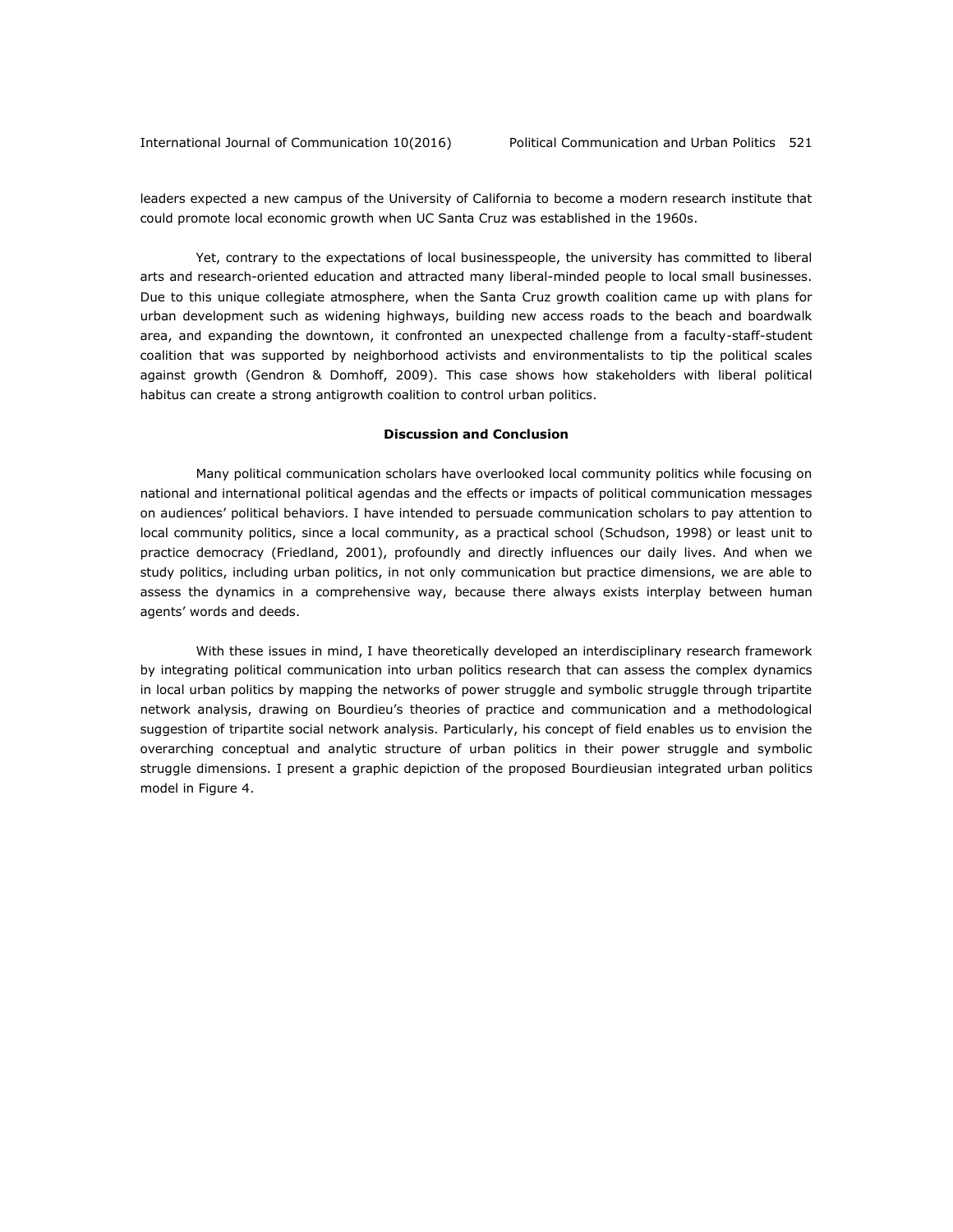leaders expected a new campus of the University of California to become a modern research institute that could promote local economic growth when UC Santa Cruz was established in the 1960s.

Yet, contrary to the expectations of local businesspeople, the university has committed to liberal arts and research-oriented education and attracted many liberal-minded people to local small businesses. Due to this unique collegiate atmosphere, when the Santa Cruz growth coalition came up with plans for urban development such as widening highways, building new access roads to the beach and boardwalk area, and expanding the downtown, it confronted an unexpected challenge from a faculty-staff-student coalition that was supported by neighborhood activists and environmentalists to tip the political scales against growth [\(Gendron & Domhoff, 2009\)](#page-20-13). This case shows how stakeholders with liberal political habitus can create a strong antigrowth coalition to control urban politics.

#### **Discussion and Conclusion**

Many political communication scholars have overlooked local community politics while focusing on national and international political agendas and the effects or impacts of political communication messages on audiences' political behaviors. I have intended to persuade communication scholars to pay attention to local community politics, since a local community, as a practical school [\(Schudson, 1998\)](#page-22-10) or least unit to practice democracy [\(Friedland, 2001\)](#page-20-14), profoundly and directly influences our daily lives. And when we study politics, including urban politics, in not only communication but practice dimensions, we are able to assess the dynamics in a comprehensive way, because there always exists interplay between human agents' words and deeds.

With these issues in mind, I have theoretically developed an interdisciplinary research framework by integrating political communication into urban politics research that can assess the complex dynamics in local urban politics by mapping the networks of power struggle and symbolic struggle through tripartite network analysis, drawing on Bourdieu's theories of practice and communication and a methodological suggestion of tripartite social network analysis. Particularly, his concept of field enables us to envision the overarching conceptual and analytic structure of urban politics in their power struggle and symbolic struggle dimensions. I present a graphic depiction of the proposed Bourdieusian integrated urban politics model in Figure 4.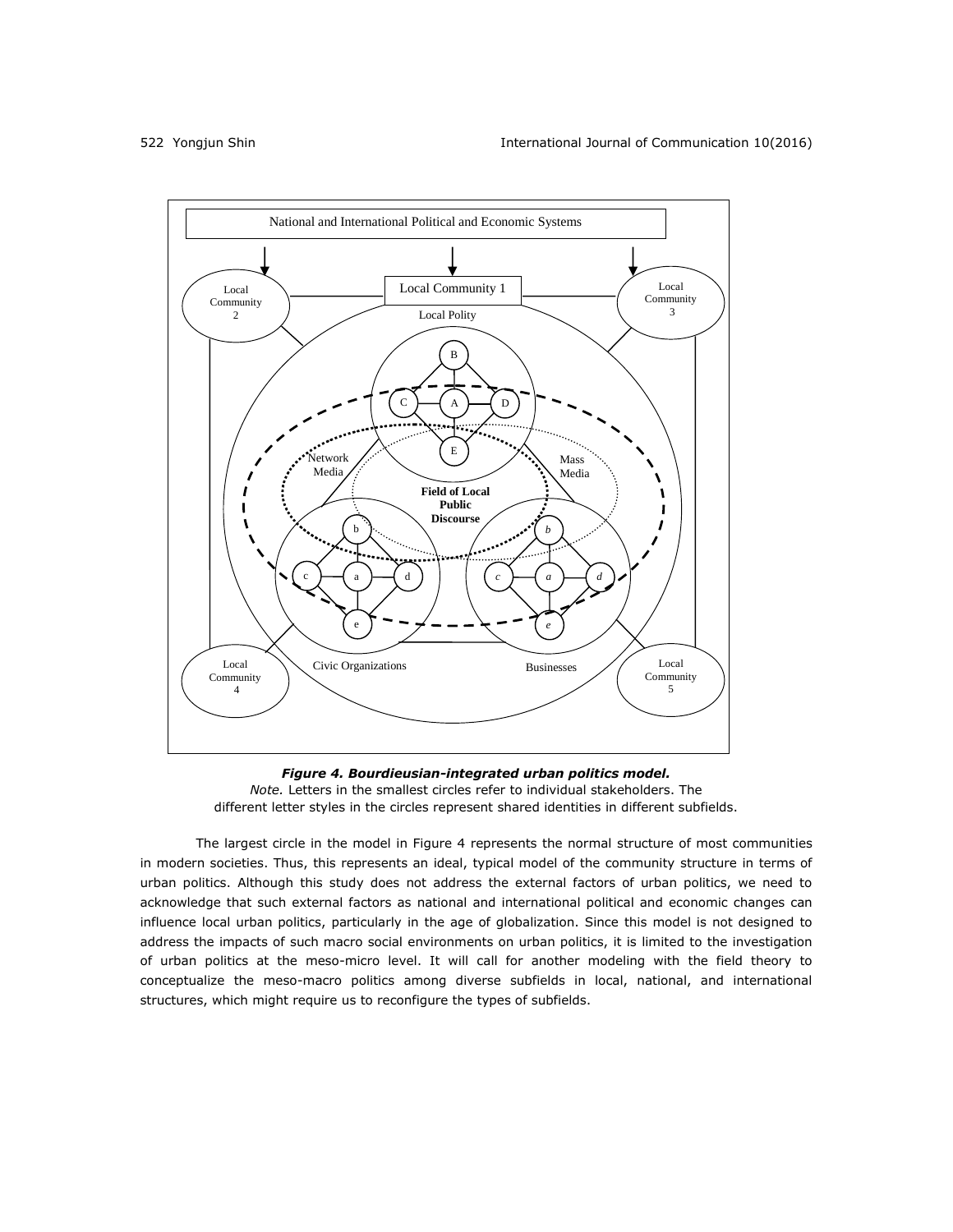

*Figure 4. Bourdieusian-integrated urban politics model. Note.* Letters in the smallest circles refer to individual stakeholders. The different letter styles in the circles represent shared identities in different subfields.

The largest circle in the model in Figure 4 represents the normal structure of most communities in modern societies. Thus, this represents an ideal, typical model of the community structure in terms of urban politics. Although this study does not address the external factors of urban politics, we need to acknowledge that such external factors as national and international political and economic changes can influence local urban politics, particularly in the age of globalization. Since this model is not designed to address the impacts of such macro social environments on urban politics, it is limited to the investigation of urban politics at the meso-micro level. It will call for another modeling with the field theory to conceptualize the meso-macro politics among diverse subfields in local, national, and international structures, which might require us to reconfigure the types of subfields.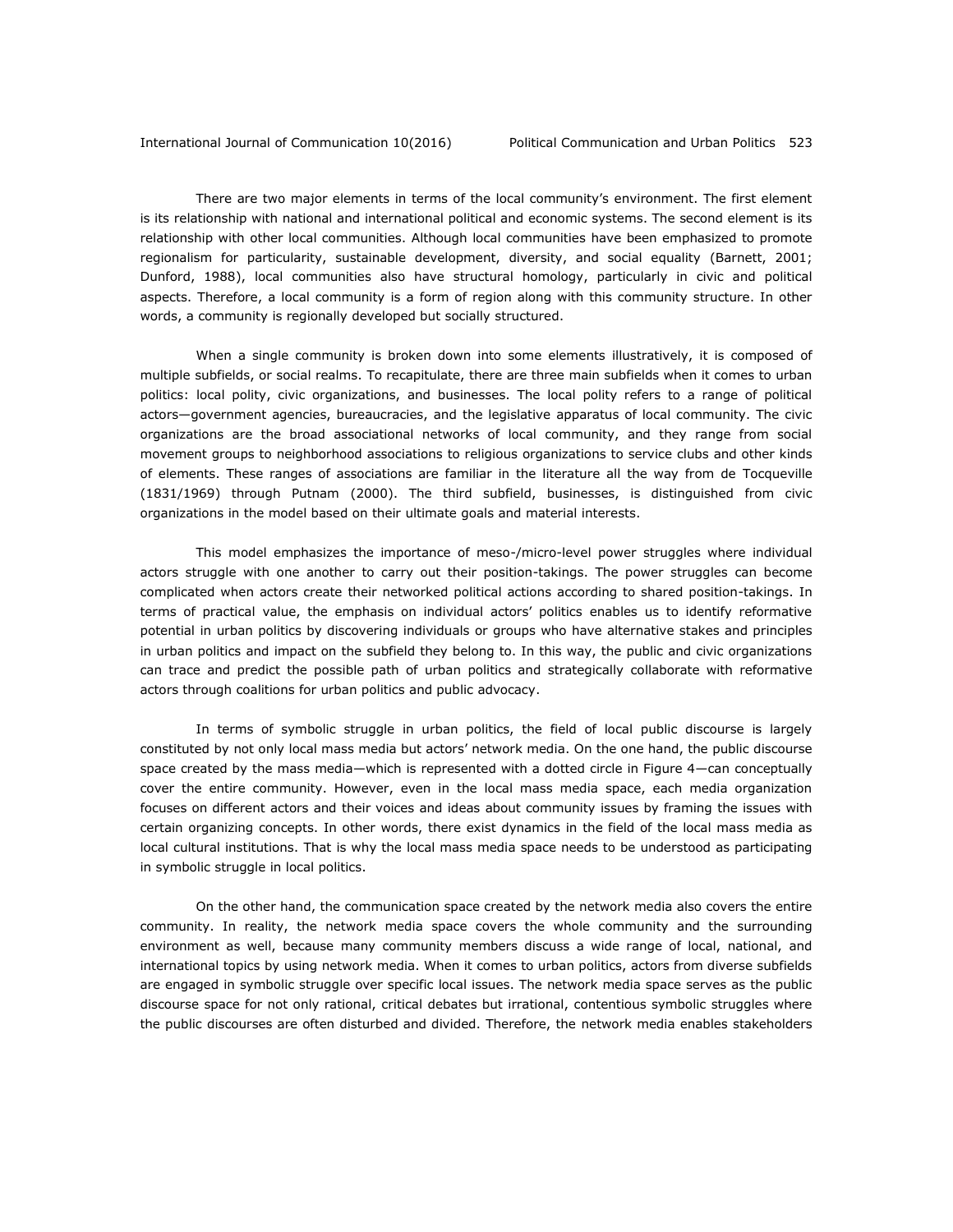There are two major elements in terms of the local community's environment. The first element is its relationship with national and international political and economic systems. The second element is its relationship with other local communities. Although local communities have been emphasized to promote regionalism for particularity, sustainable development, diversity, and social equality [\(Barnett, 2001;](#page-18-13) [Dunford, 1988\)](#page-19-10), local communities also have structural homology, particularly in civic and political aspects. Therefore, a local community is a form of region along with this community structure. In other words, a community is regionally developed but socially structured.

When a single community is broken down into some elements illustratively, it is composed of multiple subfields, or social realms. To recapitulate, there are three main subfields when it comes to urban politics: local polity, civic organizations, and businesses. The local polity refers to a range of political actors—government agencies, bureaucracies, and the legislative apparatus of local community. The civic organizations are the broad associational networks of local community, and they range from social movement groups to neighborhood associations to religious organizations to service clubs and other kinds of elements. These ranges of associations are familiar in the literature all the way from de Tocqueville (1831[/1969\)](#page-19-11) through Putnam [\(2000\)](#page-22-11). The third subfield, businesses, is distinguished from civic organizations in the model based on their ultimate goals and material interests.

This model emphasizes the importance of meso-/micro-level power struggles where individual actors struggle with one another to carry out their position-takings. The power struggles can become complicated when actors create their networked political actions according to shared position-takings. In terms of practical value, the emphasis on individual actors' politics enables us to identify reformative potential in urban politics by discovering individuals or groups who have alternative stakes and principles in urban politics and impact on the subfield they belong to. In this way, the public and civic organizations can trace and predict the possible path of urban politics and strategically collaborate with reformative actors through coalitions for urban politics and public advocacy.

In terms of symbolic struggle in urban politics, the field of local public discourse is largely constituted by not only local mass media but actors' network media. On the one hand, the public discourse space created by the mass media—which is represented with a dotted circle in Figure 4—can conceptually cover the entire community. However, even in the local mass media space, each media organization focuses on different actors and their voices and ideas about community issues by framing the issues with certain organizing concepts. In other words, there exist dynamics in the field of the local mass media as local cultural institutions. That is why the local mass media space needs to be understood as participating in symbolic struggle in local politics.

On the other hand, the communication space created by the network media also covers the entire community. In reality, the network media space covers the whole community and the surrounding environment as well, because many community members discuss a wide range of local, national, and international topics by using network media. When it comes to urban politics, actors from diverse subfields are engaged in symbolic struggle over specific local issues. The network media space serves as the public discourse space for not only rational, critical debates but irrational, contentious symbolic struggles where the public discourses are often disturbed and divided. Therefore, the network media enables stakeholders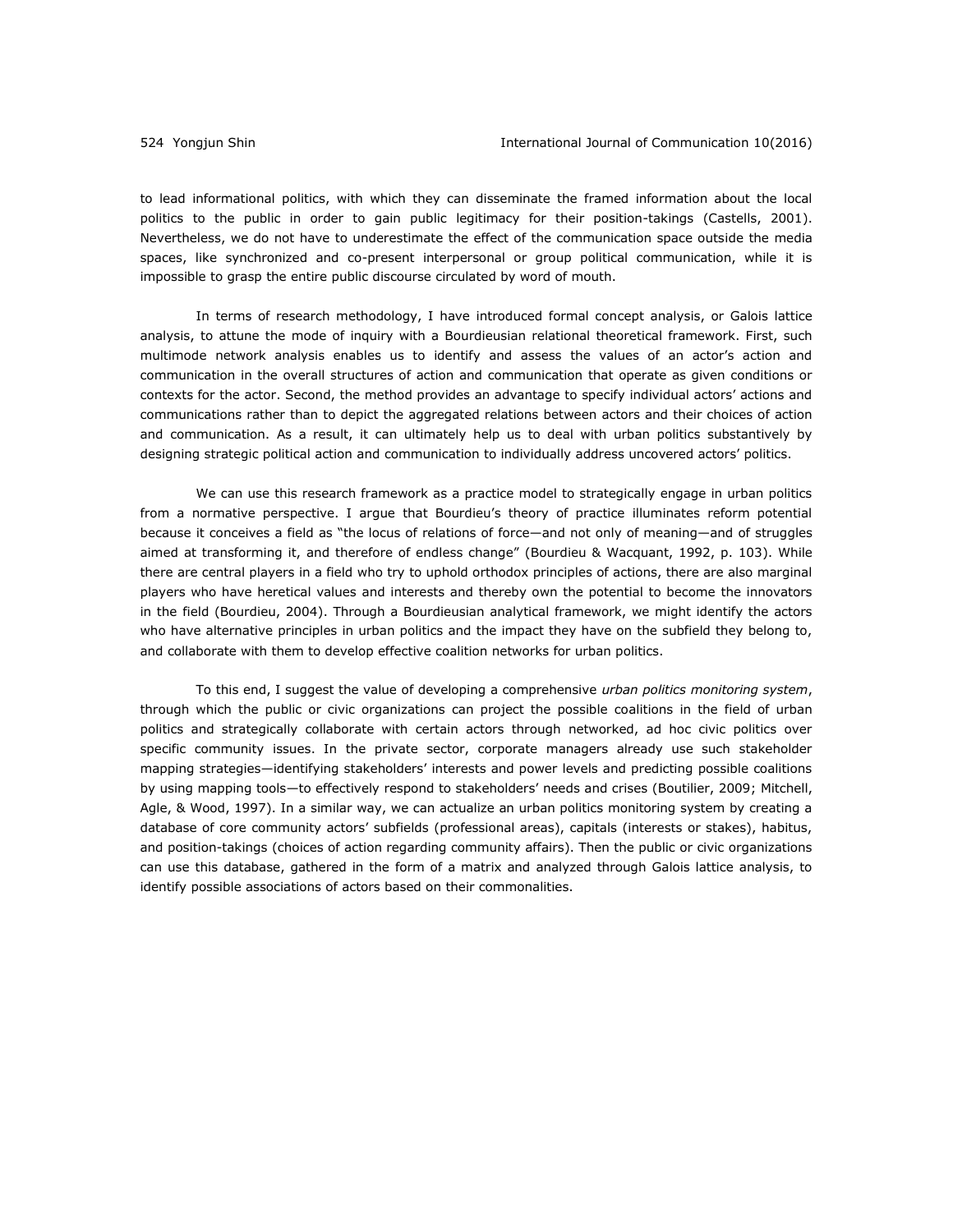to lead informational politics, with which they can disseminate the framed information about the local politics to the public in order to gain public legitimacy for their position-takings [\(Castells, 2001\)](#page-19-12). Nevertheless, we do not have to underestimate the effect of the communication space outside the media spaces, like synchronized and co-present interpersonal or group political communication, while it is impossible to grasp the entire public discourse circulated by word of mouth.

In terms of research methodology, I have introduced formal concept analysis, or Galois lattice analysis, to attune the mode of inquiry with a Bourdieusian relational theoretical framework. First, such multimode network analysis enables us to identify and assess the values of an actor's action and communication in the overall structures of action and communication that operate as given conditions or contexts for the actor. Second, the method provides an advantage to specify individual actors' actions and communications rather than to depict the aggregated relations between actors and their choices of action and communication. As a result, it can ultimately help us to deal with urban politics substantively by designing strategic political action and communication to individually address uncovered actors' politics.

We can use this research framework as a practice model to strategically engage in urban politics from a normative perspective. I argue that Bourdieu's theory of practice illuminates reform potential because it conceives a field as "the locus of relations of force—and not only of meaning—and of struggles aimed at transforming it, and therefore of endless change" [\(Bourdieu & Wacquant, 1992, p. 103\)](#page-19-2). While there are central players in a field who try to uphold orthodox principles of actions, there are also marginal players who have heretical values and interests and thereby own the potential to become the innovators in the field [\(Bourdieu, 2004\)](#page-19-13). Through a Bourdieusian analytical framework, we might identify the actors who have alternative principles in urban politics and the impact they have on the subfield they belong to, and collaborate with them to develop effective coalition networks for urban politics.

To this end, I suggest the value of developing a comprehensive *urban politics monitoring system*, through which the public or civic organizations can project the possible coalitions in the field of urban politics and strategically collaborate with certain actors through networked, ad hoc civic politics over specific community issues. In the private sector, corporate managers already use such stakeholder mapping strategies—identifying stakeholders' interests and power levels and predicting possible coalitions by using mapping tools—to effectively respond to stakeholders' needs and crises [\(Boutilier, 2009;](#page-19-14) [Mitchell,](#page-21-12)  [Agle, & Wood, 1997\)](#page-21-12). In a similar way, we can actualize an urban politics monitoring system by creating a database of core community actors' subfields (professional areas), capitals (interests or stakes), habitus, and position-takings (choices of action regarding community affairs). Then the public or civic organizations can use this database, gathered in the form of a matrix and analyzed through Galois lattice analysis, to identify possible associations of actors based on their commonalities.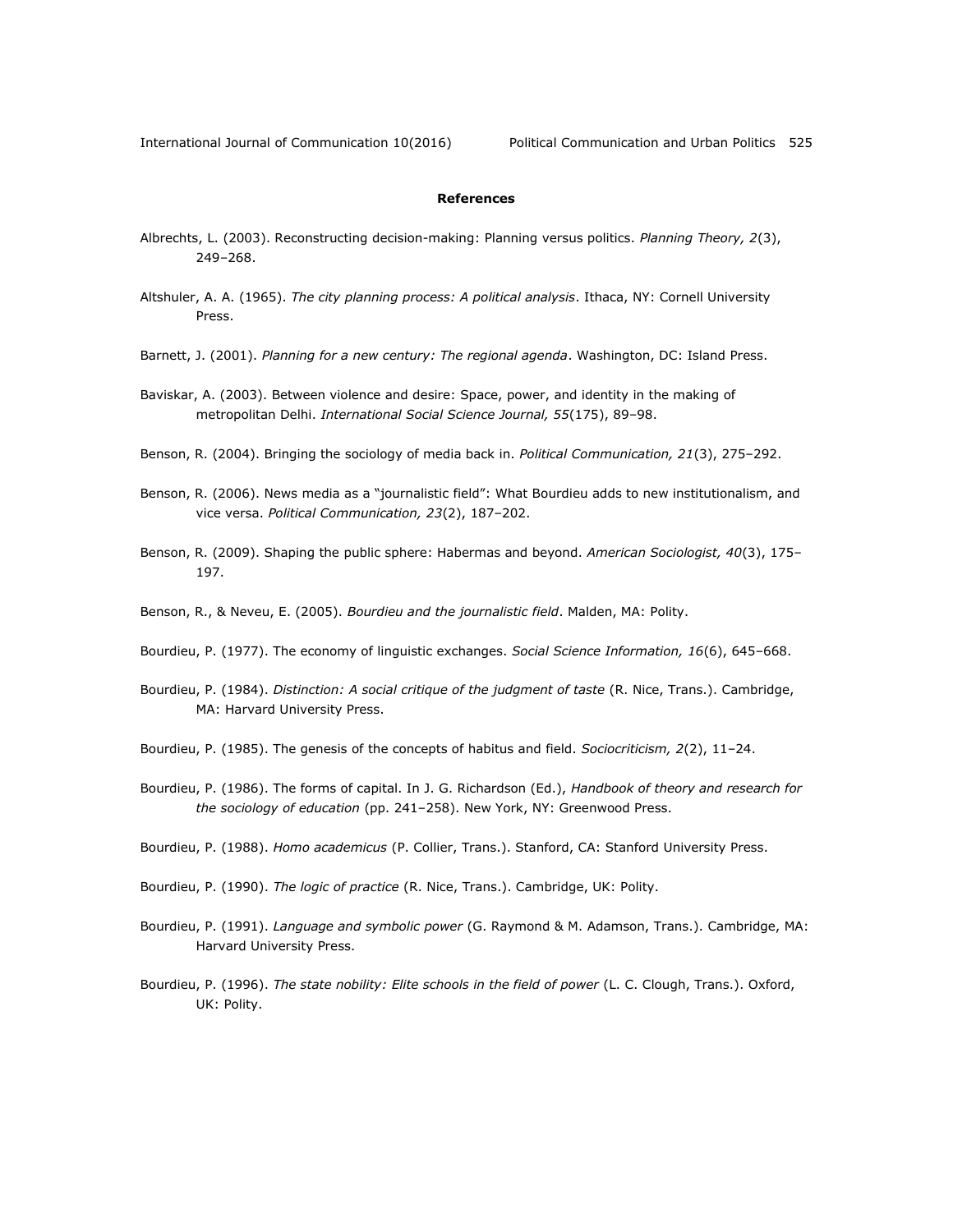#### **References**

- <span id="page-18-0"></span>Albrechts, L. (2003). Reconstructing decision-making: Planning versus politics. *Planning Theory, 2*(3), 249–268.
- <span id="page-18-1"></span>Altshuler, A. A. (1965). *The city planning process: A political analysis*. Ithaca, NY: Cornell University Press.
- <span id="page-18-13"></span>Barnett, J. (2001). *Planning for a new century: The regional agenda*. Washington, DC: Island Press.
- <span id="page-18-9"></span>Baviskar, A. (2003). Between violence and desire: Space, power, and identity in the making of metropolitan Delhi. *International Social Science Journal, 55*(175), 89–98.
- <span id="page-18-3"></span>Benson, R. (2004). Bringing the sociology of media back in. *Political Communication, 21*(3), 275–292.
- <span id="page-18-4"></span>Benson, R. (2006). News media as a "journalistic field": What Bourdieu adds to new institutionalism, and vice versa. *Political Communication, 23*(2), 187–202.
- <span id="page-18-5"></span>Benson, R. (2009). Shaping the public sphere: Habermas and beyond. *American Sociologist, 40*(3), 175– 197.
- <span id="page-18-6"></span>Benson, R., & Neveu, E. (2005). *Bourdieu and the journalistic field*. Malden, MA: Polity.
- <span id="page-18-7"></span>Bourdieu, P. (1977). The economy of linguistic exchanges. *Social Science Information, 16*(6), 645–668.
- <span id="page-18-2"></span>Bourdieu, P. (1984). *Distinction: A social critique of the judgment of taste* (R. Nice, Trans.). Cambridge, MA: Harvard University Press.

<span id="page-18-10"></span>Bourdieu, P. (1985). The genesis of the concepts of habitus and field. *Sociocriticism, 2*(2), 11–24.

- <span id="page-18-12"></span>Bourdieu, P. (1986). The forms of capital. In J. G. Richardson (Ed.), *Handbook of theory and research for the sociology of education* (pp. 241–258). New York, NY: Greenwood Press.
- <span id="page-18-8"></span>Bourdieu, P. (1988). *Homo academicus* (P. Collier, Trans.). Stanford, CA: Stanford University Press.
- Bourdieu, P. (1990). *The logic of practice* (R. Nice, Trans.). Cambridge, UK: Polity.
- Bourdieu, P. (1991). *Language and symbolic power* (G. Raymond & M. Adamson, Trans.). Cambridge, MA: Harvard University Press.
- <span id="page-18-11"></span>Bourdieu, P. (1996). *The state nobility: Elite schools in the field of power* (L. C. Clough, Trans.). Oxford, UK: Polity.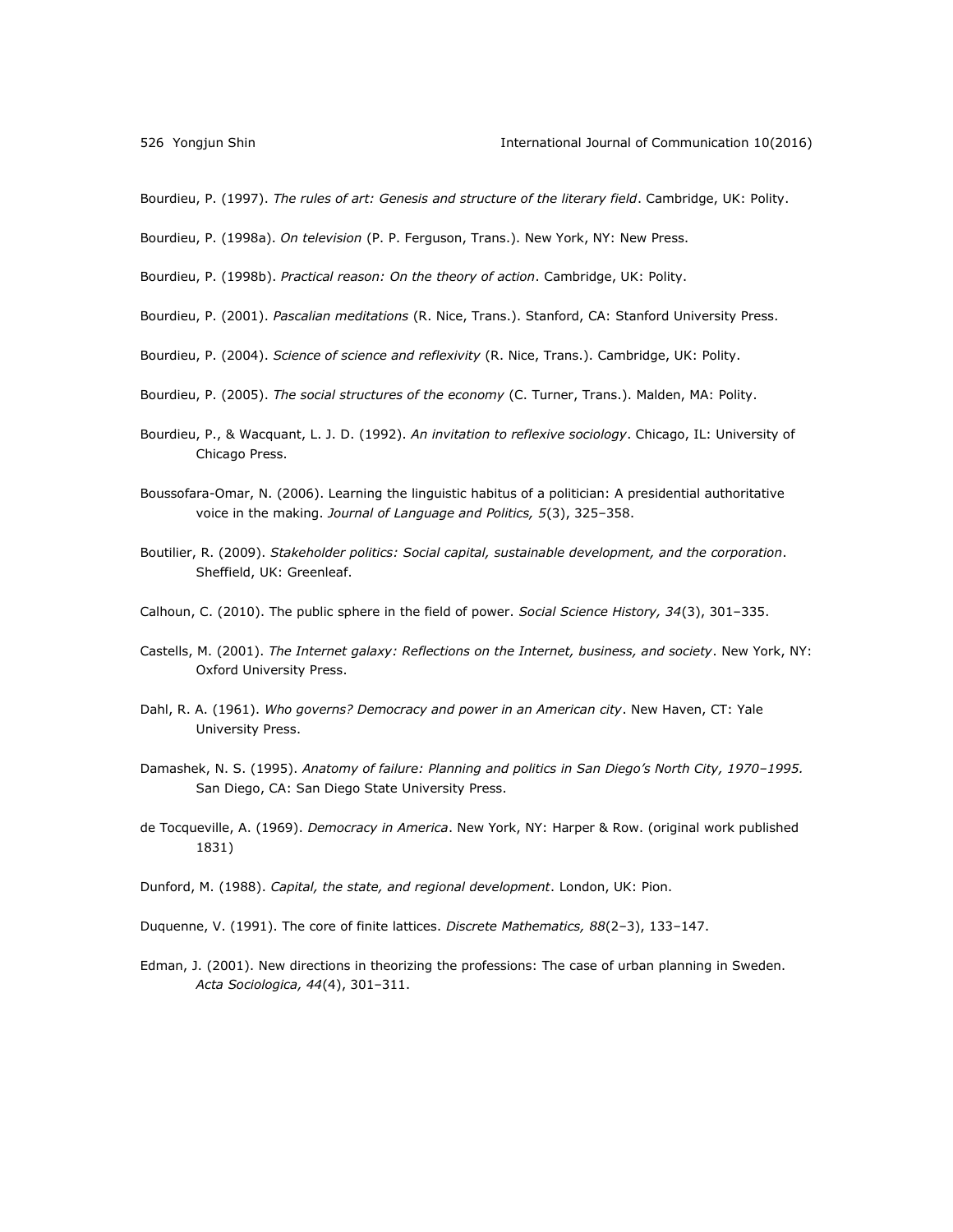Bourdieu, P. (1997). *The rules of art: Genesis and structure of the literary field*. Cambridge, UK: Polity.

<span id="page-19-0"></span>Bourdieu, P. (1998a). *On television* (P. P. Ferguson, Trans.). New York, NY: New Press.

Bourdieu, P. (1998b). *Practical reason: On the theory of action*. Cambridge, UK: Polity.

- <span id="page-19-9"></span>Bourdieu, P. (2001). *Pascalian meditations* (R. Nice, Trans.). Stanford, CA: Stanford University Press.
- <span id="page-19-13"></span>Bourdieu, P. (2004). *Science of science and reflexivity* (R. Nice, Trans.). Cambridge, UK: Polity.
- <span id="page-19-6"></span>Bourdieu, P. (2005). *The social structures of the economy* (C. Turner, Trans.). Malden, MA: Polity.
- <span id="page-19-2"></span>Bourdieu, P., & Wacquant, L. J. D. (1992). *An invitation to reflexive sociology*. Chicago, IL: University of Chicago Press.
- <span id="page-19-1"></span>Boussofara-Omar, N. (2006). Learning the linguistic habitus of a politician: A presidential authoritative voice in the making. *Journal of Language and Politics, 5*(3), 325–358.
- <span id="page-19-14"></span>Boutilier, R. (2009). *Stakeholder politics: Social capital, sustainable development, and the corporation*. Sheffield, UK: Greenleaf.
- <span id="page-19-3"></span>Calhoun, C. (2010). The public sphere in the field of power. *Social Science History, 34*(3), 301–335.
- <span id="page-19-12"></span>Castells, M. (2001). *The Internet galaxy: Reflections on the Internet, business, and society*. New York, NY: Oxford University Press.
- <span id="page-19-5"></span>Dahl, R. A. (1961). *Who governs? Democracy and power in an American city*. New Haven, CT: Yale University Press.
- <span id="page-19-8"></span>Damashek, N. S. (1995). *Anatomy of failure: Planning and politics in San Diego's North City, 1970–1995.* San Diego, CA: San Diego State University Press.
- <span id="page-19-11"></span>de Tocqueville, A. (1969). *Democracy in America*. New York, NY: Harper & Row. (original work published 1831)
- <span id="page-19-10"></span>Dunford, M. (1988). *Capital, the state, and regional development*. London, UK: Pion.
- <span id="page-19-7"></span>Duquenne, V. (1991). The core of finite lattices. *Discrete Mathematics, 88*(2–3), 133–147.
- <span id="page-19-4"></span>Edman, J. (2001). New directions in theorizing the professions: The case of urban planning in Sweden. *Acta Sociologica, 44*(4), 301–311.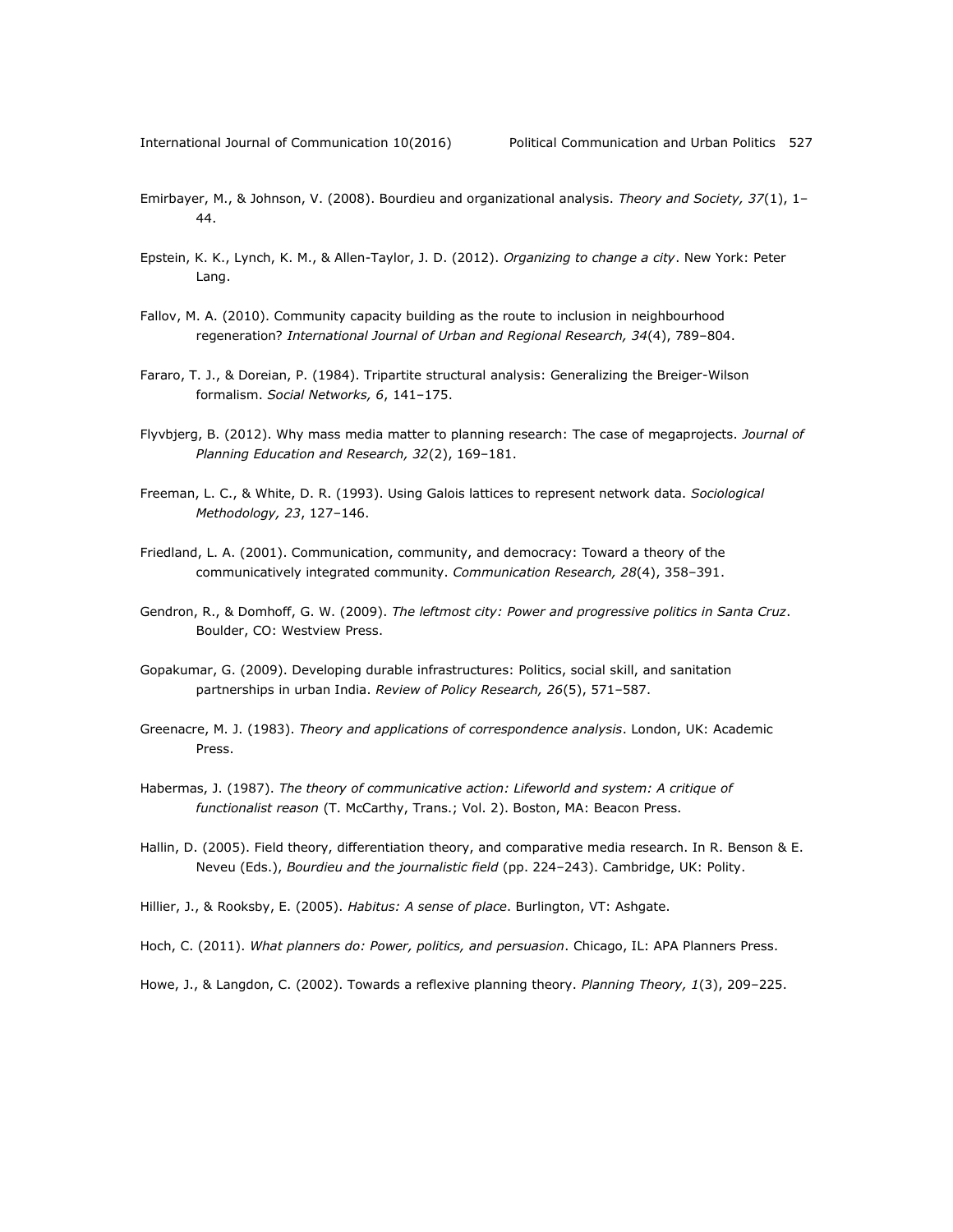- <span id="page-20-9"></span>Emirbayer, M., & Johnson, V. (2008). Bourdieu and organizational analysis. *Theory and Society, 37*(1), 1– 44.
- <span id="page-20-0"></span>Epstein, K. K., Lynch, K. M., & Allen-Taylor, J. D. (2012). *Organizing to change a city*. New York: Peter Lang.
- <span id="page-20-4"></span>Fallov, M. A. (2010). Community capacity building as the route to inclusion in neighbourhood regeneration? *International Journal of Urban and Regional Research, 34*(4), 789–804.
- <span id="page-20-11"></span>Fararo, T. J., & Doreian, P. (1984). Tripartite structural analysis: Generalizing the Breiger-Wilson formalism. *Social Networks, 6*, 141–175.
- <span id="page-20-2"></span>Flyvbjerg, B. (2012). Why mass media matter to planning research: The case of megaprojects. *Journal of Planning Education and Research, 32*(2), 169–181.
- <span id="page-20-10"></span>Freeman, L. C., & White, D. R. (1993). Using Galois lattices to represent network data. *Sociological Methodology, 23*, 127–146.
- <span id="page-20-14"></span>Friedland, L. A. (2001). Communication, community, and democracy: Toward a theory of the communicatively integrated community. *Communication Research, 28*(4), 358–391.
- <span id="page-20-13"></span>Gendron, R., & Domhoff, G. W. (2009). *The leftmost city: Power and progressive politics in Santa Cruz*. Boulder, CO: Westview Press.
- <span id="page-20-7"></span>Gopakumar, G. (2009). Developing durable infrastructures: Politics, social skill, and sanitation partnerships in urban India. *Review of Policy Research, 26*(5), 571–587.
- <span id="page-20-8"></span>Greenacre, M. J. (1983). *Theory and applications of correspondence analysis*. London, UK: Academic Press.
- <span id="page-20-12"></span>Habermas, J. (1987). *The theory of communicative action: Lifeworld and system: A critique of functionalist reason* (T. McCarthy, Trans.; Vol. 2). Boston, MA: Beacon Press.
- <span id="page-20-3"></span>Hallin, D. (2005). Field theory, differentiation theory, and comparative media research. In R. Benson & E. Neveu (Eds.), *Bourdieu and the journalistic field* (pp. 224–243). Cambridge, UK: Polity.
- <span id="page-20-5"></span>Hillier, J., & Rooksby, E. (2005). *Habitus: A sense of place*. Burlington, VT: Ashgate.
- <span id="page-20-1"></span>Hoch, C. (2011). *What planners do: Power, politics, and persuasion*. Chicago, IL: APA Planners Press.
- <span id="page-20-6"></span>Howe, J., & Langdon, C. (2002). Towards a reflexive planning theory. *Planning Theory, 1*(3), 209–225.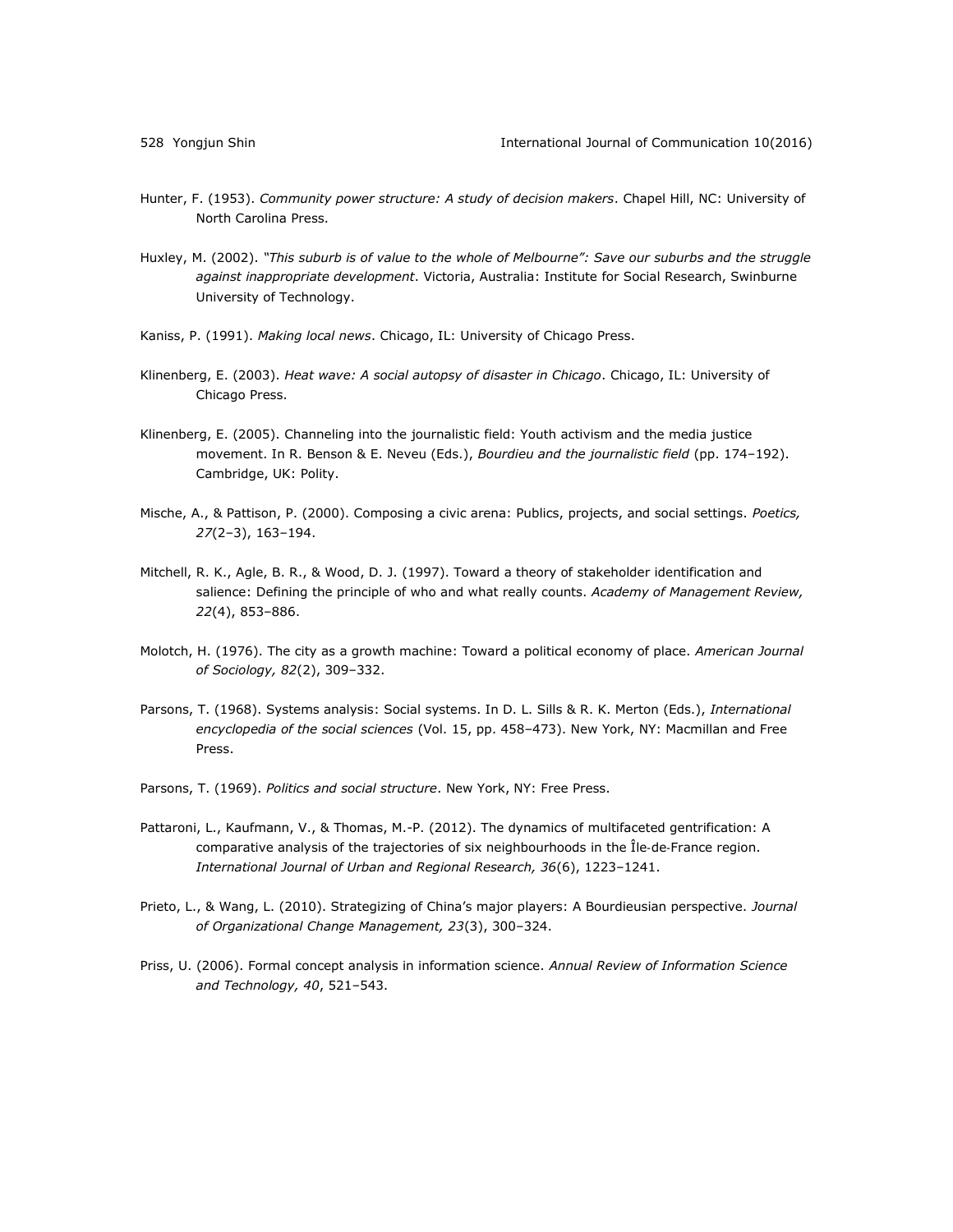- <span id="page-21-1"></span>Hunter, F. (1953). *Community power structure: A study of decision makers*. Chapel Hill, NC: University of North Carolina Press.
- <span id="page-21-5"></span>Huxley, M. (2002). *"This suburb is of value to the whole of Melbourne": Save our suburbs and the struggle against inappropriate development*. Victoria, Australia: Institute for Social Research, Swinburne University of Technology.
- <span id="page-21-0"></span>Kaniss, P. (1991). *Making local news*. Chicago, IL: University of Chicago Press.
- <span id="page-21-3"></span>Klinenberg, E. (2003). *Heat wave: A social autopsy of disaster in Chicago*. Chicago, IL: University of Chicago Press.
- <span id="page-21-2"></span>Klinenberg, E. (2005). Channeling into the journalistic field: Youth activism and the media justice movement. In R. Benson & E. Neveu (Eds.), *Bourdieu and the journalistic field* (pp. 174–192). Cambridge, UK: Polity.
- <span id="page-21-9"></span>Mische, A., & Pattison, P. (2000). Composing a civic arena: Publics, projects, and social settings. *Poetics, 27*(2–3), 163–194.
- <span id="page-21-12"></span>Mitchell, R. K., Agle, B. R., & Wood, D. J. (1997). Toward a theory of stakeholder identification and salience: Defining the principle of who and what really counts. *Academy of Management Review, 22*(4), 853–886.
- <span id="page-21-7"></span>Molotch, H. (1976). The city as a growth machine: Toward a political economy of place. *American Journal of Sociology, 82*(2), 309–332.
- <span id="page-21-10"></span>Parsons, T. (1968). Systems analysis: Social systems. In D. L. Sills & R. K. Merton (Eds.), *International encyclopedia of the social sciences* (Vol. 15, pp. 458–473). New York, NY: Macmillan and Free Press.
- <span id="page-21-11"></span>Parsons, T. (1969). *Politics and social structure*. New York, NY: Free Press.
- <span id="page-21-4"></span>Pattaroni, L., Kaufmann, V., & Thomas, M.-P. (2012). The dynamics of multifaceted gentrification: A comparative analysis of the trajectories of six neighbourhoods in the Île‐de‐France region. *International Journal of Urban and Regional Research, 36*(6), 1223–1241.
- <span id="page-21-6"></span>Prieto, L., & Wang, L. (2010). Strategizing of China's major players: A Bourdieusian perspective. *Journal of Organizational Change Management, 23*(3), 300–324.
- <span id="page-21-8"></span>Priss, U. (2006). Formal concept analysis in information science. *Annual Review of Information Science and Technology, 40*, 521–543.